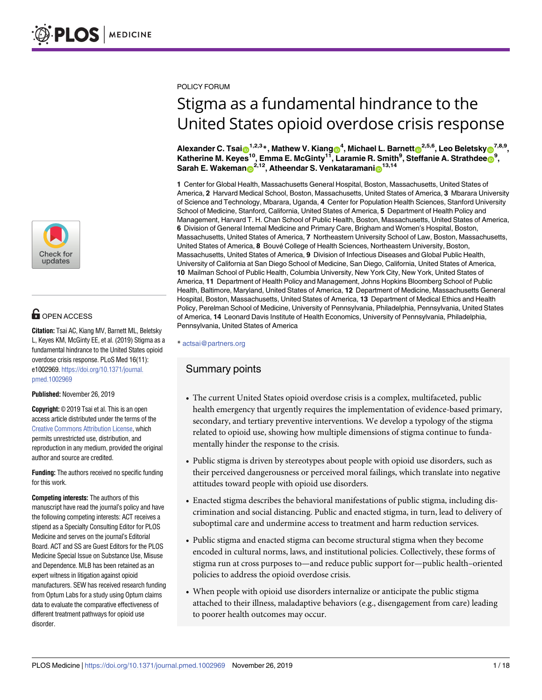

# $\blacksquare$  OPEN ACCESS

**Citation:** Tsai AC, Kiang MV, Barnett ML, Beletsky L, Keyes KM, McGinty EE, et al. (2019) Stigma as a fundamental hindrance to the United States opioid overdose crisis response. PLoS Med 16(11): e1002969. [https://doi.org/10.1371/journal.](https://doi.org/10.1371/journal.pmed.1002969) [pmed.1002969](https://doi.org/10.1371/journal.pmed.1002969)

**Published:** November 26, 2019

**Copyright:** © 2019 Tsai et al. This is an open access article distributed under the terms of the Creative Commons [Attribution](http://creativecommons.org/licenses/by/4.0/) License, which permits unrestricted use, distribution, and reproduction in any medium, provided the original author and source are credited.

**Funding:** The authors received no specific funding for this work.

**Competing interests:** The authors of this manuscript have read the journal's policy and have the following competing interests: ACT receives a stipend as a Specialty Consulting Editor for PLOS Medicine and serves on the journal's Editorial Board. ACT and SS are Guest Editors for the PLOS Medicine Special Issue on Substance Use, Misuse and Dependence. MLB has been retained as an expert witness in litigation against opioid manufacturers. SEW has received research funding from Optum Labs for a study using Optum claims data to evaluate the comparative effectiveness of different treatment pathways for opioid use disorder.

POLICY FORUM

# Stigma as a fundamental hindrance to the United States opioid overdose crisis response

Alexander C. Tsai⋒<sup>1,2,3</sup>\*, Mathew V. Kiang⋒<sup>4</sup>, Michael L. Barnett⋒<sup>2,5,6</sup>, Leo Beletsky⋒<sup>7,8,9</sup>, **Katherine M. Keyes10, Emma E. McGinty11, Laramie R. Smith9 , Steffanie A. Strathdee[ID9](http://orcid.org/0000-0002-7724-691X) ,**  $\delta$ **Sarah E.** Wakeman $\delta$ <sup>2,12</sup>, Atheendar S. Venkataramani $\delta$ <sup>13,14</sup>

**1** Center for Global Health, Massachusetts General Hospital, Boston, Massachusetts, United States of America, **2** Harvard Medical School, Boston, Massachusetts, United States of America, **3** Mbarara University of Science and Technology, Mbarara, Uganda, **4** Center for Population Health Sciences, Stanford University School of Medicine, Stanford, California, United States of America, **5** Department of Health Policy and Management, Harvard T. H. Chan School of Public Health, Boston, Massachusetts, United States of America, **6** Division of General Internal Medicine and Primary Care, Brigham and Women's Hospital, Boston, Massachusetts, United States of America, **7** Northeastern University School of Law, Boston, Massachusetts, United States of America, 8 Bouvé College of Health Sciences, Northeastern University, Boston, Massachusetts, United States of America, **9** Division of Infectious Diseases and Global Public Health, University of California at San Diego School of Medicine, San Diego, California, United States of America, **10** Mailman School of Public Health, Columbia University, New York City, New York, United States of America, **11** Department of Health Policy and Management, Johns Hopkins Bloomberg School of Public Health, Baltimore, Maryland, United States of America, **12** Department of Medicine, Massachusetts General Hospital, Boston, Massachusetts, United States of America, **13** Department of Medical Ethics and Health Policy, Perelman School of Medicine, University of Pennsylvania, Philadelphia, Pennsylvania, United States of America, **14** Leonard Davis Institute of Health Economics, University of Pennsylvania, Philadelphia, Pennsylvania, United States of America

\* actsai@partners.org

# Summary points

- The current United States opioid overdose crisis is a complex, multifaceted, public health emergency that urgently requires the implementation of evidence-based primary, secondary, and tertiary preventive interventions. We develop a typology of the stigma related to opioid use, showing how multiple dimensions of stigma continue to fundamentally hinder the response to the crisis.
- Public stigma is driven by stereotypes about people with opioid use disorders, such as their perceived dangerousness or perceived moral failings, which translate into negative attitudes toward people with opioid use disorders.
- Enacted stigma describes the behavioral manifestations of public stigma, including discrimination and social distancing. Public and enacted stigma, in turn, lead to delivery of suboptimal care and undermine access to treatment and harm reduction services.
- Public stigma and enacted stigma can become structural stigma when they become encoded in cultural norms, laws, and institutional policies. Collectively, these forms of stigma run at cross purposes to—and reduce public support for—public health–oriented policies to address the opioid overdose crisis.
- When people with opioid use disorders internalize or anticipate the public stigma attached to their illness, maladaptive behaviors (e.g., disengagement from care) leading to poorer health outcomes may occur.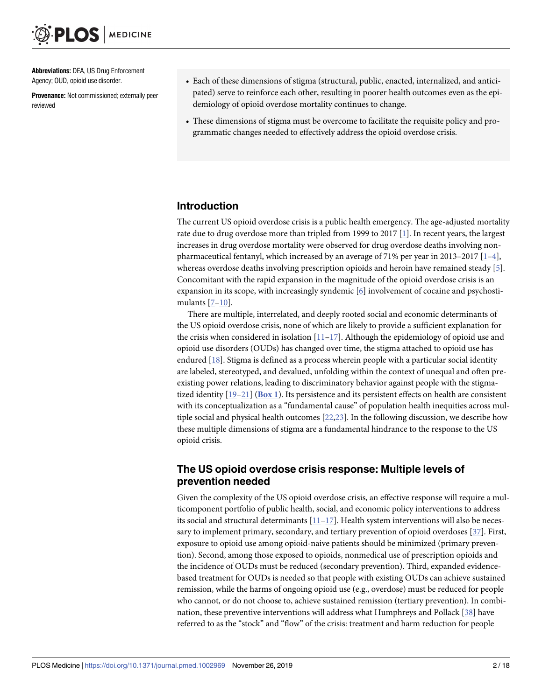<span id="page-1-0"></span>**Abbreviations:** DEA, US Drug Enforcement Agency; OUD, opioid use disorder.

**Provenance:** Not commissioned; externally peer reviewed

- Each of these dimensions of stigma (structural, public, enacted, internalized, and anticipated) serve to reinforce each other, resulting in poorer health outcomes even as the epidemiology of opioid overdose mortality continues to change.
- These dimensions of stigma must be overcome to facilitate the requisite policy and programmatic changes needed to effectively address the opioid overdose crisis.

## **Introduction**

The current US opioid overdose crisis is a public health emergency. The age-adjusted mortality rate due to drug overdose more than tripled from 1999 to 2017 [\[1](#page-7-0)]. In recent years, the largest increases in drug overdose mortality were observed for drug overdose deaths involving nonpharmaceutical fentanyl, which increased by an average of 71% per year in 2013–2017  $[1-4]$ , whereas overdose deaths involving prescription opioids and heroin have remained steady [\[5](#page-7-0)]. Concomitant with the rapid expansion in the magnitude of the opioid overdose crisis is an expansion in its scope, with increasingly syndemic [[6](#page-7-0)] involvement of cocaine and psychostimulants [[7–10](#page-7-0)].

There are multiple, interrelated, and deeply rooted social and economic determinants of the US opioid overdose crisis, none of which are likely to provide a sufficient explanation for the crisis when considered in isolation  $[11-17]$ . Although the epidemiology of opioid use and opioid use disorders (OUDs) has changed over time, the stigma attached to opioid use has endured [\[18\]](#page-8-0). Stigma is defined as a process wherein people with a particular social identity are labeled, stereotyped, and devalued, unfolding within the context of unequal and often preexisting power relations, leading to discriminatory behavior against people with the stigmatized identity [[19](#page-8-0)–[21](#page-8-0)] (**[Box](#page-2-0) 1**). Its persistence and its persistent effects on health are consistent with its conceptualization as a "fundamental cause" of population health inequities across multiple social and physical health outcomes [\[22,23](#page-8-0)]. In the following discussion, we describe how these multiple dimensions of stigma are a fundamental hindrance to the response to the US opioid crisis.

# **The US opioid overdose crisis response: Multiple levels of prevention needed**

Given the complexity of the US opioid overdose crisis, an effective response will require a multicomponent portfolio of public health, social, and economic policy interventions to address its social and structural determinants  $[11-17]$  $[11-17]$  $[11-17]$  $[11-17]$  $[11-17]$ . Health system interventions will also be necessary to implement primary, secondary, and tertiary prevention of opioid overdoses [\[37\]](#page-9-0). First, exposure to opioid use among opioid-naive patients should be minimized (primary prevention). Second, among those exposed to opioids, nonmedical use of prescription opioids and the incidence of OUDs must be reduced (secondary prevention). Third, expanded evidencebased treatment for OUDs is needed so that people with existing OUDs can achieve sustained remission, while the harms of ongoing opioid use (e.g., overdose) must be reduced for people who cannot, or do not choose to, achieve sustained remission (tertiary prevention). In combination, these preventive interventions will address what Humphreys and Pollack [[38](#page-9-0)] have referred to as the "stock" and "flow" of the crisis: treatment and harm reduction for people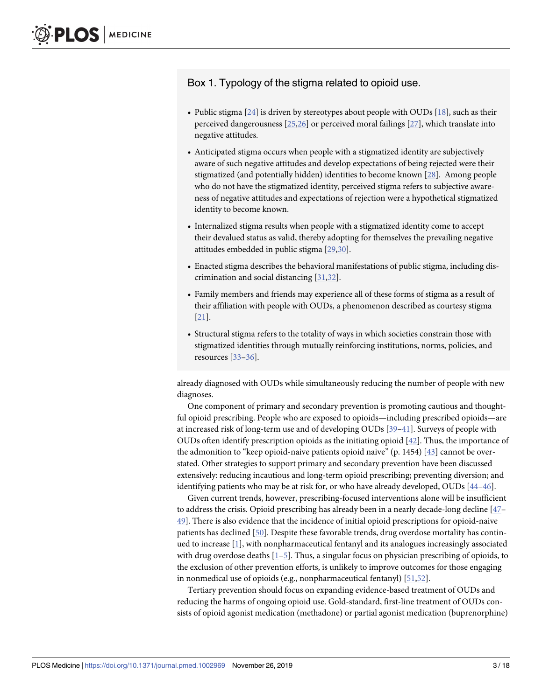# <span id="page-2-0"></span>Box 1. Typology of the stigma related to opioid use.

- Public stigma  $[24]$  is driven by stereotypes about people with OUDs  $[18]$ , such as their perceived dangerousness [[25,26\]](#page-8-0) or perceived moral failings [\[27\]](#page-8-0), which translate into negative attitudes.
- Anticipated stigma occurs when people with a stigmatized identity are subjectively aware of such negative attitudes and develop expectations of being rejected were their stigmatized (and potentially hidden) identities to become known [[28](#page-8-0)]. Among people who do not have the stigmatized identity, perceived stigma refers to subjective awareness of negative attitudes and expectations of rejection were a hypothetical stigmatized identity to become known.
- Internalized stigma results when people with a stigmatized identity come to accept their devalued status as valid, thereby adopting for themselves the prevailing negative attitudes embedded in public stigma [[29](#page-8-0),[30](#page-8-0)].
- Enacted stigma describes the behavioral manifestations of public stigma, including discrimination and social distancing [\[31,32\]](#page-8-0).
- Family members and friends may experience all of these forms of stigma as a result of their affiliation with people with OUDs, a phenomenon described as courtesy stigma [\[21\]](#page-8-0).
- Structural stigma refers to the totality of ways in which societies constrain those with stigmatized identities through mutually reinforcing institutions, norms, policies, and resources [\[33–](#page-8-0)[36](#page-9-0)].

already diagnosed with OUDs while simultaneously reducing the number of people with new diagnoses.

One component of primary and secondary prevention is promoting cautious and thoughtful opioid prescribing. People who are exposed to opioids—including prescribed opioids—are at increased risk of long-term use and of developing OUDs [[39–41\]](#page-9-0). Surveys of people with OUDs often identify prescription opioids as the initiating opioid [[42](#page-9-0)]. Thus, the importance of the admonition to "keep opioid-naive patients opioid naive" (p. 1454) [\[43\]](#page-9-0) cannot be overstated. Other strategies to support primary and secondary prevention have been discussed extensively: reducing incautious and long-term opioid prescribing; preventing diversion; and identifying patients who may be at risk for, or who have already developed, OUDs [[44](#page-9-0)–[46](#page-9-0)].

Given current trends, however, prescribing-focused interventions alone will be insufficient to address the crisis. Opioid prescribing has already been in a nearly decade-long decline [[47](#page-9-0)– [49\]](#page-9-0). There is also evidence that the incidence of initial opioid prescriptions for opioid-naive patients has declined [[50](#page-9-0)]. Despite these favorable trends, drug overdose mortality has continued to increase [\[1](#page-7-0)], with nonpharmaceutical fentanyl and its analogues increasingly associated with drug overdose deaths  $[1–5]$  $[1–5]$ . Thus, a singular focus on physician prescribing of opioids, to the exclusion of other prevention efforts, is unlikely to improve outcomes for those engaging in nonmedical use of opioids (e.g., nonpharmaceutical fentanyl) [[51,52\]](#page-9-0).

Tertiary prevention should focus on expanding evidence-based treatment of OUDs and reducing the harms of ongoing opioid use. Gold-standard, first-line treatment of OUDs consists of opioid agonist medication (methadone) or partial agonist medication (buprenorphine)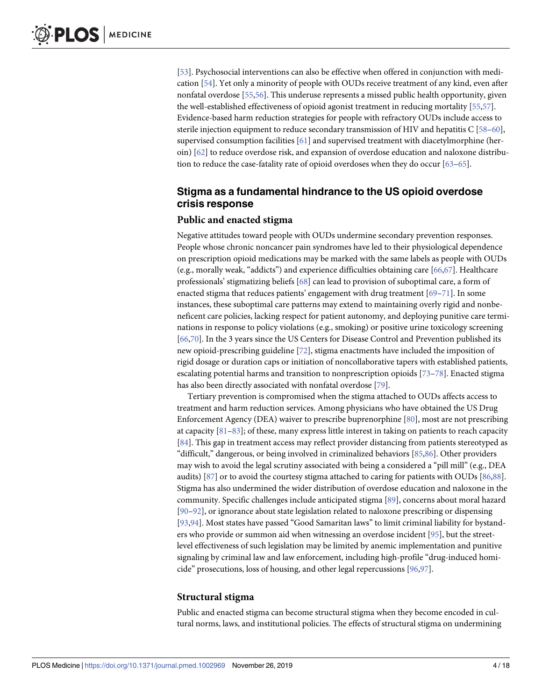<span id="page-3-0"></span>[\[53\]](#page-9-0). Psychosocial interventions can also be effective when offered in conjunction with medication [\[54\]](#page-10-0). Yet only a minority of people with OUDs receive treatment of any kind, even after nonfatal overdose [[55,56\]](#page-10-0). This underuse represents a missed public health opportunity, given the well-established effectiveness of opioid agonist treatment in reducing mortality [[55,57\]](#page-10-0). Evidence-based harm reduction strategies for people with refractory OUDs include access to sterile injection equipment to reduce secondary transmission of HIV and hepatitis C [\[58–60](#page-10-0)], supervised consumption facilities [\[61\]](#page-10-0) and supervised treatment with diacetylmorphine (heroin) [\[62\]](#page-10-0) to reduce overdose risk, and expansion of overdose education and naloxone distribution to reduce the case-fatality rate of opioid overdoses when they do occur [\[63–65](#page-10-0)].

# **Stigma as a fundamental hindrance to the US opioid overdose crisis response**

#### **Public and enacted stigma**

Negative attitudes toward people with OUDs undermine secondary prevention responses. People whose chronic noncancer pain syndromes have led to their physiological dependence on prescription opioid medications may be marked with the same labels as people with OUDs (e.g., morally weak, "addicts") and experience difficulties obtaining care [\[66,67](#page-10-0)]. Healthcare professionals' stigmatizing beliefs [\[68\]](#page-10-0) can lead to provision of suboptimal care, a form of enacted stigma that reduces patients' engagement with drug treatment [[69–71\]](#page-10-0). In some instances, these suboptimal care patterns may extend to maintaining overly rigid and nonbeneficent care policies, lacking respect for patient autonomy, and deploying punitive care terminations in response to policy violations (e.g., smoking) or positive urine toxicology screening [\[66,70\]](#page-10-0). In the 3 years since the US Centers for Disease Control and Prevention published its new opioid-prescribing guideline [\[72\]](#page-10-0), stigma enactments have included the imposition of rigid dosage or duration caps or initiation of noncollaborative tapers with established patients, escalating potential harms and transition to nonprescription opioids [\[73–78](#page-11-0)]. Enacted stigma has also been directly associated with nonfatal overdose [[79](#page-11-0)].

Tertiary prevention is compromised when the stigma attached to OUDs affects access to treatment and harm reduction services. Among physicians who have obtained the US Drug Enforcement Agency (DEA) waiver to prescribe buprenorphine [\[80\]](#page-11-0), most are not prescribing at capacity  $[81-83]$ ; of these, many express little interest in taking on patients to reach capacity [\[84\]](#page-11-0). This gap in treatment access may reflect provider distancing from patients stereotyped as "difficult," dangerous, or being involved in criminalized behaviors [\[85,86\]](#page-11-0). Other providers may wish to avoid the legal scrutiny associated with being a considered a "pill mill" (e.g., DEA audits) [\[87\]](#page-11-0) or to avoid the courtesy stigma attached to caring for patients with OUDs [\[86,88](#page-11-0)]. Stigma has also undermined the wider distribution of overdose education and naloxone in the community. Specific challenges include anticipated stigma [[89](#page-11-0)], concerns about moral hazard [\[90–92\]](#page-11-0), or ignorance about state legislation related to naloxone prescribing or dispensing [\[93,94\]](#page-12-0). Most states have passed "Good Samaritan laws" to limit criminal liability for bystanders who provide or summon aid when witnessing an overdose incident [[95](#page-12-0)], but the streetlevel effectiveness of such legislation may be limited by anemic implementation and punitive signaling by criminal law and law enforcement, including high-profile "drug-induced homicide" prosecutions, loss of housing, and other legal repercussions [\[96,97](#page-12-0)].

#### **Structural stigma**

Public and enacted stigma can become structural stigma when they become encoded in cultural norms, laws, and institutional policies. The effects of structural stigma on undermining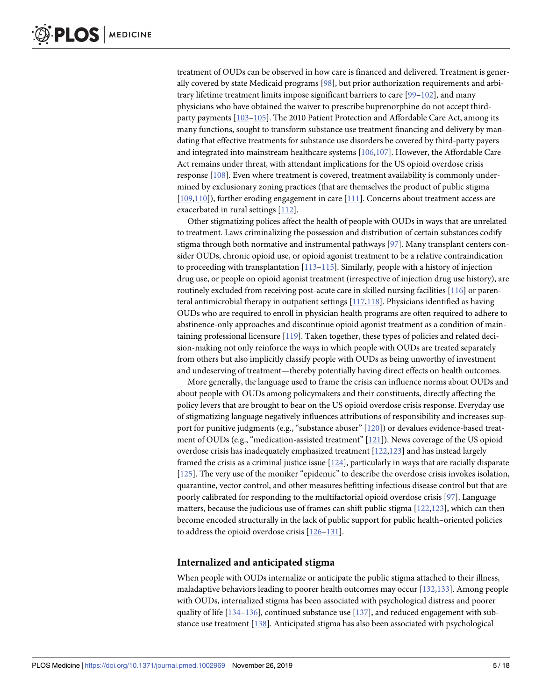<span id="page-4-0"></span>treatment of OUDs can be observed in how care is financed and delivered. Treatment is generally covered by state Medicaid programs [[98](#page-12-0)], but prior authorization requirements and arbitrary lifetime treatment limits impose significant barriers to care [[99](#page-12-0)–[102\]](#page-12-0), and many physicians who have obtained the waiver to prescribe buprenorphine do not accept thirdparty payments [\[103](#page-12-0)–[105\]](#page-12-0). The 2010 Patient Protection and Affordable Care Act, among its many functions, sought to transform substance use treatment financing and delivery by mandating that effective treatments for substance use disorders be covered by third-party payers and integrated into mainstream healthcare systems [\[106](#page-12-0),[107\]](#page-12-0). However, the Affordable Care Act remains under threat, with attendant implications for the US opioid overdose crisis response [[108\]](#page-12-0). Even where treatment is covered, treatment availability is commonly undermined by exclusionary zoning practices (that are themselves the product of public stigma [\[109,110](#page-12-0)]), further eroding engagement in care [\[111](#page-12-0)]. Concerns about treatment access are exacerbated in rural settings [\[112\]](#page-12-0).

Other stigmatizing polices affect the health of people with OUDs in ways that are unrelated to treatment. Laws criminalizing the possession and distribution of certain substances codify stigma through both normative and instrumental pathways [[97](#page-12-0)]. Many transplant centers consider OUDs, chronic opioid use, or opioid agonist treatment to be a relative contraindication to proceeding with transplantation [[113–115\]](#page-13-0). Similarly, people with a history of injection drug use, or people on opioid agonist treatment (irrespective of injection drug use history), are routinely excluded from receiving post-acute care in skilled nursing facilities [\[116\]](#page-13-0) or parenteral antimicrobial therapy in outpatient settings [\[117](#page-13-0),[118\]](#page-13-0). Physicians identified as having OUDs who are required to enroll in physician health programs are often required to adhere to abstinence-only approaches and discontinue opioid agonist treatment as a condition of maintaining professional licensure [[119\]](#page-13-0). Taken together, these types of policies and related decision-making not only reinforce the ways in which people with OUDs are treated separately from others but also implicitly classify people with OUDs as being unworthy of investment and undeserving of treatment—thereby potentially having direct effects on health outcomes.

More generally, the language used to frame the crisis can influence norms about OUDs and about people with OUDs among policymakers and their constituents, directly affecting the policy levers that are brought to bear on the US opioid overdose crisis response. Everyday use of stigmatizing language negatively influences attributions of responsibility and increases sup-port for punitive judgments (e.g., "substance abuser" [[120\]](#page-13-0)) or devalues evidence-based treatment of OUDs (e.g., "medication-assisted treatment" [\[121\]](#page-13-0)). News coverage of the US opioid overdose crisis has inadequately emphasized treatment [\[122,123](#page-13-0)] and has instead largely framed the crisis as a criminal justice issue [[124\]](#page-13-0), particularly in ways that are racially disparate [\[125\]](#page-13-0). The very use of the moniker "epidemic" to describe the overdose crisis invokes isolation, quarantine, vector control, and other measures befitting infectious disease control but that are poorly calibrated for responding to the multifactorial opioid overdose crisis [[97](#page-12-0)]. Language matters, because the judicious use of frames can shift public stigma [[122,123\]](#page-13-0), which can then become encoded structurally in the lack of public support for public health–oriented policies to address the opioid overdose crisis [\[126–131](#page-13-0)].

#### **Internalized and anticipated stigma**

When people with OUDs internalize or anticipate the public stigma attached to their illness, maladaptive behaviors leading to poorer health outcomes may occur [\[132,133](#page-14-0)]. Among people with OUDs, internalized stigma has been associated with psychological distress and poorer quality of life [[134–136](#page-14-0)], continued substance use [[137](#page-14-0)], and reduced engagement with substance use treatment [\[138](#page-14-0)]. Anticipated stigma has also been associated with psychological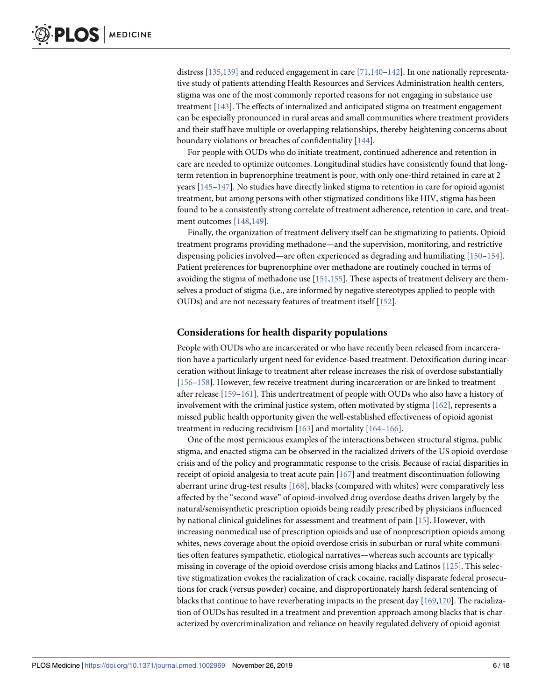<span id="page-5-0"></span>distress [\[135,139](#page-14-0)] and reduced engagement in care [[71](#page-10-0)[,140–142](#page-14-0)]. In one nationally representative study of patients attending Health Resources and Services Administration health centers, stigma was one of the most commonly reported reasons for not engaging in substance use treatment [[143\]](#page-14-0). The effects of internalized and anticipated stigma on treatment engagement can be especially pronounced in rural areas and small communities where treatment providers and their staff have multiple or overlapping relationships, thereby heightening concerns about boundary violations or breaches of confidentiality [[144\]](#page-14-0).

For people with OUDs who do initiate treatment, continued adherence and retention in care are needed to optimize outcomes. Longitudinal studies have consistently found that longterm retention in buprenorphine treatment is poor, with only one-third retained in care at 2 years [\[145–147\]](#page-14-0). No studies have directly linked stigma to retention in care for opioid agonist treatment, but among persons with other stigmatized conditions like HIV, stigma has been found to be a consistently strong correlate of treatment adherence, retention in care, and treatment outcomes [\[148,149](#page-14-0)].

Finally, the organization of treatment delivery itself can be stigmatizing to patients. Opioid treatment programs providing methadone—and the supervision, monitoring, and restrictive dispensing policies involved—are often experienced as degrading and humiliating [[150](#page-14-0)[–154\]](#page-15-0). Patient preferences for buprenorphine over methadone are routinely couched in terms of avoiding the stigma of methadone use [\[151,155](#page-15-0)]. These aspects of treatment delivery are themselves a product of stigma (i.e., are informed by negative stereotypes applied to people with OUDs) and are not necessary features of treatment itself [[152\]](#page-15-0).

#### **Considerations for health disparity populations**

People with OUDs who are incarcerated or who have recently been released from incarceration have a particularly urgent need for evidence-based treatment. Detoxification during incarceration without linkage to treatment after release increases the risk of overdose substantially [\[156–158](#page-15-0)]. However, few receive treatment during incarceration or are linked to treatment after release [[159–161](#page-15-0)]. This undertreatment of people with OUDs who also have a history of involvement with the criminal justice system, often motivated by stigma [\[162\]](#page-15-0), represents a missed public health opportunity given the well-established effectiveness of opioid agonist treatment in reducing recidivism [[163](#page-15-0)] and mortality [[164–166](#page-15-0)].

One of the most pernicious examples of the interactions between structural stigma, public stigma, and enacted stigma can be observed in the racialized drivers of the US opioid overdose crisis and of the policy and programmatic response to the crisis. Because of racial disparities in receipt of opioid analgesia to treat acute pain [\[167\]](#page-15-0) and treatment discontinuation following aberrant urine drug-test results [[168\]](#page-15-0), blacks (compared with whites) were comparatively less affected by the "second wave" of opioid-involved drug overdose deaths driven largely by the natural/semisynthetic prescription opioids being readily prescribed by physicians influenced by national clinical guidelines for assessment and treatment of pain [\[15\]](#page-8-0). However, with increasing nonmedical use of prescription opioids and use of nonprescription opioids among whites, news coverage about the opioid overdose crisis in suburban or rural white communities often features sympathetic, etiological narratives—whereas such accounts are typically missing in coverage of the opioid overdose crisis among blacks and Latinos [[125\]](#page-13-0). This selective stigmatization evokes the racialization of crack cocaine, racially disparate federal prosecutions for crack (versus powder) cocaine, and disproportionately harsh federal sentencing of blacks that continue to have reverberating impacts in the present day [[169](#page-15-0)[,170\]](#page-16-0). The racialization of OUDs has resulted in a treatment and prevention approach among blacks that is characterized by overcriminalization and reliance on heavily regulated delivery of opioid agonist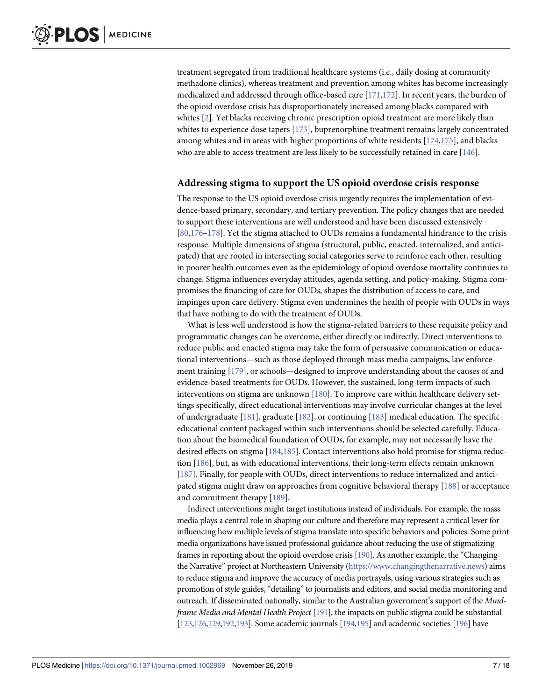<span id="page-6-0"></span>treatment segregated from traditional healthcare systems (i.e., daily dosing at community methadone clinics), whereas treatment and prevention among whites has become increasingly medicalized and addressed through office-based care [[171,172\]](#page-16-0). In recent years, the burden of the opioid overdose crisis has disproportionately increased among blacks compared with whites [\[2\]](#page-7-0). Yet blacks receiving chronic prescription opioid treatment are more likely than whites to experience dose tapers [\[173](#page-16-0)], buprenorphine treatment remains largely concentrated among whites and in areas with higher proportions of white residents [[174,175](#page-16-0)], and blacks who are able to access treatment are less likely to be successfully retained in care [\[146\]](#page-14-0).

#### **Addressing stigma to support the US opioid overdose crisis response**

The response to the US opioid overdose crisis urgently requires the implementation of evidence-based primary, secondary, and tertiary prevention. The policy changes that are needed to support these interventions are well understood and have been discussed extensively [\[80](#page-11-0)[,176](#page-16-0)–[178\]](#page-16-0). Yet the stigma attached to OUDs remains a fundamental hindrance to the crisis response. Multiple dimensions of stigma (structural, public, enacted, internalized, and anticipated) that are rooted in intersecting social categories serve to reinforce each other, resulting in poorer health outcomes even as the epidemiology of opioid overdose mortality continues to change. Stigma influences everyday attitudes, agenda setting, and policy-making. Stigma compromises the financing of care for OUDs, shapes the distribution of access to care, and impinges upon care delivery. Stigma even undermines the health of people with OUDs in ways that have nothing to do with the treatment of OUDs.

What is less well understood is how the stigma-related barriers to these requisite policy and programmatic changes can be overcome, either directly or indirectly. Direct interventions to reduce public and enacted stigma may take the form of persuasive communication or educational interventions—such as those deployed through mass media campaigns, law enforcement training [[179\]](#page-16-0), or schools—designed to improve understanding about the causes of and evidence-based treatments for OUDs. However, the sustained, long-term impacts of such interventions on stigma are unknown [\[180\]](#page-16-0). To improve care within healthcare delivery settings specifically, direct educational interventions may involve curricular changes at the level of undergraduate [[181\]](#page-16-0), graduate [\[182](#page-16-0)], or continuing [[183](#page-16-0)] medical education. The specific educational content packaged within such interventions should be selected carefully. Education about the biomedical foundation of OUDs, for example, may not necessarily have the desired effects on stigma [\[184,185](#page-16-0)]. Contact interventions also hold promise for stigma reduction [[186](#page-16-0)], but, as with educational interventions, their long-term effects remain unknown [\[187\]](#page-16-0). Finally, for people with OUDs, direct interventions to reduce internalized and anticipated stigma might draw on approaches from cognitive behavioral therapy [[188\]](#page-16-0) or acceptance and commitment therapy [[189\]](#page-16-0).

Indirect interventions might target institutions instead of individuals. For example, the mass media plays a central role in shaping our culture and therefore may represent a critical lever for influencing how multiple levels of stigma translate into specific behaviors and policies. Some print media organizations have issued professional guidance about reducing the use of stigmatizing frames in reporting about the opioid overdose crisis [\[190\]](#page-16-0). As another example, the "Changing the Narrative" project at Northeastern University [\(https://www.changingthenarrative.news](https://www.changingthenarrative.news/)) aims to reduce stigma and improve the accuracy of media portrayals, using various strategies such as promotion of style guides, "detailing" to journalists and editors, and social media monitoring and outreach. If disseminated nationally, similar to the Australian government's support of the *Mindframe Media and Mental Health Project* [\[191\]](#page-17-0), the impacts on public stigma could be substantial [\[123,126,129,](#page-13-0)[192,193\]](#page-17-0). Some academic journals [\[194,195\]](#page-17-0) and academic societies [[196\]](#page-17-0) have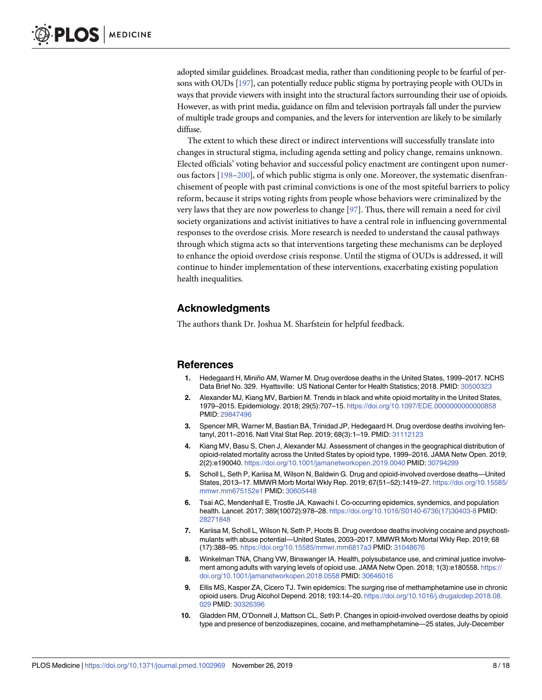<span id="page-7-0"></span>adopted similar guidelines. Broadcast media, rather than conditioning people to be fearful of persons with OUDs [\[197](#page-17-0)], can potentially reduce public stigma by portraying people with OUDs in ways that provide viewers with insight into the structural factors surrounding their use of opioids. However, as with print media, guidance on film and television portrayals fall under the purview of multiple trade groups and companies, and the levers for intervention are likely to be similarly diffuse.

The extent to which these direct or indirect interventions will successfully translate into changes in structural stigma, including agenda setting and policy change, remains unknown. Elected officials' voting behavior and successful policy enactment are contingent upon numerous factors [[198–200](#page-17-0)], of which public stigma is only one. Moreover, the systematic disenfranchisement of people with past criminal convictions is one of the most spiteful barriers to policy reform, because it strips voting rights from people whose behaviors were criminalized by the very laws that they are now powerless to change [\[97\]](#page-12-0). Thus, there will remain a need for civil society organizations and activist initiatives to have a central role in influencing governmental responses to the overdose crisis. More research is needed to understand the causal pathways through which stigma acts so that interventions targeting these mechanisms can be deployed to enhance the opioid overdose crisis response. Until the stigma of OUDs is addressed, it will continue to hinder implementation of these interventions, exacerbating existing population health inequalities.

## **Acknowledgments**

The authors thank Dr. Joshua M. Sharfstein for helpful feedback.

#### **References**

- **[1](#page-1-0).** Hedegaard H, Miniño AM, Warner M. Drug overdose deaths in the United States, 1999–2017. NCHS Data Brief No. 329. Hyattsville: US National Center for Health Statistics; 2018. PMID: [30500323](http://www.ncbi.nlm.nih.gov/pubmed/30500323)
- **[2](#page-6-0).** Alexander MJ, Kiang MV, Barbieri M. Trends in black and white opioid mortality in the United States, 1979–2015. Epidemiology. 2018; 29(5):707–15. <https://doi.org/10.1097/EDE.0000000000000858> PMID: [29847496](http://www.ncbi.nlm.nih.gov/pubmed/29847496)
- **3.** Spencer MR, Warner M, Bastian BA, Trinidad JP, Hedegaard H. Drug overdose deaths involving fentanyl, 2011–2016. Natl Vital Stat Rep. 2019; 68(3):1–19. PMID: [31112123](http://www.ncbi.nlm.nih.gov/pubmed/31112123)
- **[4](#page-1-0).** Kiang MV, Basu S, Chen J, Alexander MJ. Assessment of changes in the geographical distribution of opioid-related mortality across the United States by opioid type, 1999–2016. JAMA Netw Open. 2019; 2(2):e190040. <https://doi.org/10.1001/jamanetworkopen.2019.0040> PMID: [30794299](http://www.ncbi.nlm.nih.gov/pubmed/30794299)
- **[5](#page-1-0).** Scholl L, Seth P, Kariisa M, Wilson N, Baldwin G. Drug and opioid-involved overdose deaths—United States, 2013–17. MMWR Morb Mortal Wkly Rep. 2019; 67(51–52):1419–27. [https://doi.org/10.15585/](https://doi.org/10.15585/mmwr.mm675152e1) [mmwr.mm675152e1](https://doi.org/10.15585/mmwr.mm675152e1) PMID: [30605448](http://www.ncbi.nlm.nih.gov/pubmed/30605448)
- **[6](#page-1-0).** Tsai AC, Mendenhall E, Trostle JA, Kawachi I. Co-occurring epidemics, syndemics, and population health. Lancet. 2017; 389(10072):978–28. [https://doi.org/10.1016/S0140-6736\(17\)30403-8](https://doi.org/10.1016/S0140-6736(17)30403-8) PMID: [28271848](http://www.ncbi.nlm.nih.gov/pubmed/28271848)
- **[7](#page-1-0).** Kariisa M, Scholl L, Wilson N, Seth P, Hoots B. Drug overdose deaths involving cocaine and psychostimulants with abuse potential—United States, 2003–2017. MMWR Morb Mortal Wkly Rep. 2019; 68 (17):388–95. <https://doi.org/10.15585/mmwr.mm6817a3> PMID: [31048676](http://www.ncbi.nlm.nih.gov/pubmed/31048676)
- **8.** Winkelman TNA, Chang VW, Binswanger IA. Health, polysubstance use, and criminal justice involvement among adults with varying levels of opioid use. JAMA Netw Open. 2018; 1(3):e180558. [https://](https://doi.org/10.1001/jamanetworkopen.2018.0558) [doi.org/10.1001/jamanetworkopen.2018.0558](https://doi.org/10.1001/jamanetworkopen.2018.0558) PMID: [30646016](http://www.ncbi.nlm.nih.gov/pubmed/30646016)
- **9.** Ellis MS, Kasper ZA, Cicero TJ. Twin epidemics: The surging rise of methamphetamine use in chronic opioid users. Drug Alcohol Depend. 2018; 193:14–20. [https://doi.org/10.1016/j.drugalcdep.2018.08.](https://doi.org/10.1016/j.drugalcdep.2018.08.029) [029](https://doi.org/10.1016/j.drugalcdep.2018.08.029) PMID: [30326396](http://www.ncbi.nlm.nih.gov/pubmed/30326396)
- **[10](#page-1-0).** Gladden RM, O'Donnell J, Mattson CL, Seth P. Changes in opioid-involved overdose deaths by opioid type and presence of benzodiazepines, cocaine, and methamphetamine—25 states, July-December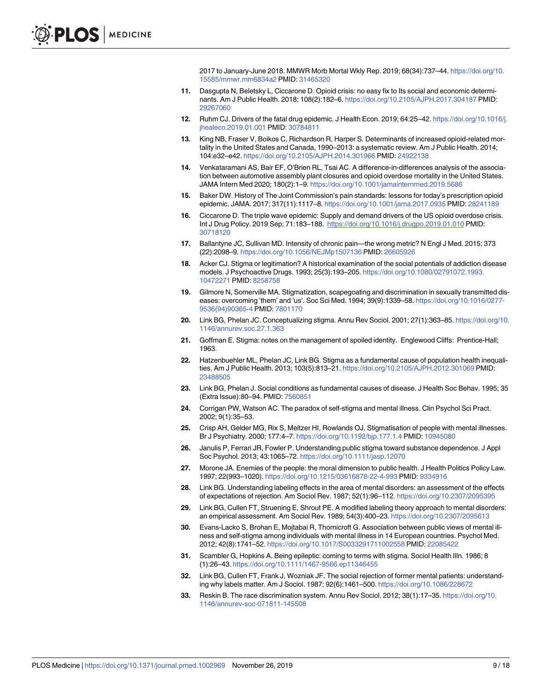2017 to January-June 2018. MMWR Morb Mortal Wkly Rep. 2019; 68(34):737–44. [https://doi.org/10.](https://doi.org/10.15585/mmwr.mm6834a2) [15585/mmwr.mm6834a2](https://doi.org/10.15585/mmwr.mm6834a2) PMID: [31465320](http://www.ncbi.nlm.nih.gov/pubmed/31465320)

- <span id="page-8-0"></span>**[11](#page-1-0).** Dasgupta N, Beletsky L, Ciccarone D. Opioid crisis: no easy fix to Its social and economic determinants. Am J Public Health. 2018; 108(2):182–6. <https://doi.org/10.2105/AJPH.2017.304187> PMID: [29267060](http://www.ncbi.nlm.nih.gov/pubmed/29267060)
- **12.** Ruhm CJ. Drivers of the fatal drug epidemic. J Health Econ. 2019; 64:25–42. [https://doi.org/10.1016/j.](https://doi.org/10.1016/j.jhealeco.2019.01.001) [jhealeco.2019.01.001](https://doi.org/10.1016/j.jhealeco.2019.01.001) PMID: [30784811](http://www.ncbi.nlm.nih.gov/pubmed/30784811)
- **13.** King NB, Fraser V, Boikos C, Richardson R, Harper S. Determinants of increased opioid-related mortality in the United States and Canada, 1990–2013: a systematic review. Am J Public Health. 2014; 104:e32–e42. <https://doi.org/10.2105/AJPH.2014.301966> PMID: [24922138](http://www.ncbi.nlm.nih.gov/pubmed/24922138)
- **14.** Venkataramani AS, Bair EF, O'Brien RL, Tsai AC. A difference-in-differences analysis of the association between automotive assembly plant closures and opioid overdose mortality in the United States. JAMA Intern Med 2020; 180(2):1–9. <https://doi.org/10.1001/jamainternmed.2019.5686>
- **[15](#page-5-0).** Baker DW. History of The Joint Commission's pain standards: lessons for today's prescription opioid epidemic. JAMA. 2017; 317(11):1117–8. <https://doi.org/10.1001/jama.2017.0935> PMID: [28241189](http://www.ncbi.nlm.nih.gov/pubmed/28241189)
- **16.** Ciccarone D. The triple wave epidemic: Supply and demand drivers of the US opioid overdose crisis. Int J Drug Policy. 2019 Sep; 71:183–188. <https://doi.org/10.1016/j.drugpo.2019.01.010> PMID: [30718120](http://www.ncbi.nlm.nih.gov/pubmed/30718120)
- **[17](#page-1-0).** Ballantyne JC, Sullivan MD. Intensity of chronic pain—the wrong metric? N Engl J Med. 2015; 373 (22):2098–9. <https://doi.org/10.1056/NEJMp1507136> PMID: [26605926](http://www.ncbi.nlm.nih.gov/pubmed/26605926)
- **[18](#page-1-0).** Acker CJ. Stigma or legitimation? A historical examination of the social potentials of addiction disease models. J Psychoactive Drugs. 1993; 25(3):193–205. [https://doi.org/10.1080/02791072.1993.](https://doi.org/10.1080/02791072.1993.10472271) [10472271](https://doi.org/10.1080/02791072.1993.10472271) PMID: [8258758](http://www.ncbi.nlm.nih.gov/pubmed/8258758)
- **[19](#page-1-0).** Gilmore N, Somerville MA. Stigmatization, scapegoating and discrimination in sexually transmitted diseases: overcoming 'them' and 'us'. Soc Sci Med. 1994; 39(9):1339–58. [https://doi.org/10.1016/0277-](https://doi.org/10.1016/0277-9536(94)90365-4) [9536\(94\)90365-4](https://doi.org/10.1016/0277-9536(94)90365-4) PMID: [7801170](http://www.ncbi.nlm.nih.gov/pubmed/7801170)
- **20.** Link BG, Phelan JC. Conceptualizing stigma. Annu Rev Sociol. 2001; 27(1):363–85. [https://doi.org/10.](https://doi.org/10.1146/annurev.soc.27.1.363) [1146/annurev.soc.27.1.363](https://doi.org/10.1146/annurev.soc.27.1.363)
- **[21](#page-1-0).** Goffman E. Stigma: notes on the management of spoiled identity. Englewood Cliffs: Prentice-Hall; 1963.
- **[22](#page-1-0).** Hatzenbuehler ML, Phelan JC, Link BG. Stigma as a fundamental cause of population health inequalities. Am J Public Health. 2013; 103(5):813–21. <https://doi.org/10.2105/AJPH.2012.301069> PMID: [23488505](http://www.ncbi.nlm.nih.gov/pubmed/23488505)
- **[23](#page-1-0).** Link BG, Phelan J. Social conditions as fundamental causes of disease. J Health Soc Behav. 1995; 35 (Extra Issue):80–94. PMID: [7560851](http://www.ncbi.nlm.nih.gov/pubmed/7560851)
- **[24](#page-2-0).** Corrigan PW, Watson AC. The paradox of self-stigma and mental illness. Clin Psychol Sci Pract. 2002; 9(1):35–53.
- **[25](#page-2-0).** Crisp AH, Gelder MG, Rix S, Meltzer HI, Rowlands OJ. Stigmatisation of people with mental illnesses. Br J Psychiatry. 2000; 177:4–7. <https://doi.org/10.1192/bjp.177.1.4> PMID: [10945080](http://www.ncbi.nlm.nih.gov/pubmed/10945080)
- **[26](#page-2-0).** Janulis P, Ferrari JR, Fowler P. Understanding public stigma toward substance dependence. J Appl Soc Psychol. 2013; 43:1065–72. <https://doi.org/10.1111/jasp.12070>
- **[27](#page-2-0).** Morone JA. Enemies of the people: the moral dimension to public health. J Health Politics Policy Law. 1997; 22(993–1020). <https://doi.org/10.1215/03616878-22-4-993> PMID: [9334916](http://www.ncbi.nlm.nih.gov/pubmed/9334916)
- **[28](#page-2-0).** Link BG. Understanding labeling effects in the area of mental disorders: an assessment of the effects of expectations of rejection. Am Sociol Rev. 1987; 52(1):96–112. <https://doi.org/10.2307/2095395>
- **[29](#page-2-0).** Link BG, Cullen FT, Struening E, Shrout PE. A modified labeling theory approach to mental disorders: an empirical assessment. Am Sociol Rev. 1989; 54(3):400–23. <https://doi.org/10.2307/2095613>
- **[30](#page-2-0).** Evans-Lacko S, Brohan E, Mojtabai R, Thornicroft G. Association between public views of mental illness and self-stigma among individuals with mental illness in 14 European countries. Psychol Med. 2012; 42(8):1741–52. <https://doi.org/10.1017/S0033291711002558> PMID: [22085422](http://www.ncbi.nlm.nih.gov/pubmed/22085422)
- **[31](#page-2-0).** Scambler G, Hopkins A. Being epileptic: coming to terms with stigma. Sociol Health Illn. 1986; 8 (1):26–43. <https://doi.org/10.1111/1467-9566.ep11346455>
- **[32](#page-2-0).** Link BG, Cullen FT, Frank J, Wozniak JF. The social rejection of former mental patients: understanding why labels matter. Am J Sociol. 1987; 92(6):1461–500. <https://doi.org/10.1086/228672>
- **[33](#page-2-0).** Reskin B. The race discrimination system. Annu Rev Sociol. 2012; 38(1):17–35. [https://doi.org/10.](https://doi.org/10.1146/annurev-soc-071811-145508) [1146/annurev-soc-071811-145508](https://doi.org/10.1146/annurev-soc-071811-145508)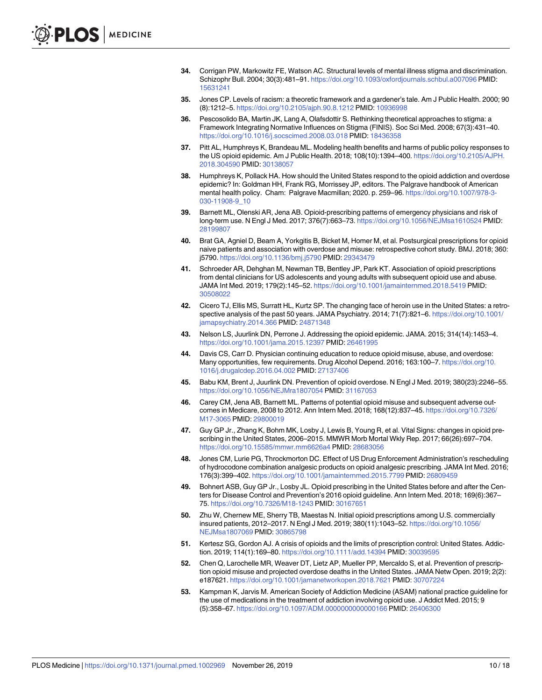- <span id="page-9-0"></span>**34.** Corrigan PW, Markowitz FE, Watson AC. Structural levels of mental illness stigma and discrimination. Schizophr Bull. 2004; 30(3):481–91. <https://doi.org/10.1093/oxfordjournals.schbul.a007096> PMID: [15631241](http://www.ncbi.nlm.nih.gov/pubmed/15631241)
- **35.** Jones CP. Levels of racism: a theoretic framework and a gardener's tale. Am J Public Health. 2000; 90 (8):1212–5. <https://doi.org/10.2105/ajph.90.8.1212> PMID: [10936998](http://www.ncbi.nlm.nih.gov/pubmed/10936998)
- **[36](#page-2-0).** Pescosolido BA, Martin JK, Lang A, Olafsdottir S. Rethinking theoretical approaches to stigma: a Framework Integrating Normative Influences on Stigma (FINIS). Soc Sci Med. 2008; 67(3):431–40. <https://doi.org/10.1016/j.socscimed.2008.03.018> PMID: [18436358](http://www.ncbi.nlm.nih.gov/pubmed/18436358)
- **[37](#page-1-0).** Pitt AL, Humphreys K, Brandeau ML. Modeling health benefits and harms of public policy responses to the US opioid epidemic. Am J Public Health. 2018; 108(10):1394–400. [https://doi.org/10.2105/AJPH.](https://doi.org/10.2105/AJPH.2018.304590) [2018.304590](https://doi.org/10.2105/AJPH.2018.304590) PMID: [30138057](http://www.ncbi.nlm.nih.gov/pubmed/30138057)
- **[38](#page-1-0).** Humphreys K, Pollack HA. How should the United States respond to the opioid addiction and overdose epidemic? In: Goldman HH, Frank RG, Morrissey JP, editors. The Palgrave handbook of American mental health policy. Cham: Palgrave Macmillan; 2020. p. 259–96. [https://doi.org/10.1007/978-3-](https://doi.org/10.1007/978-3-030-11908-9_10) [030-11908-9\\_10](https://doi.org/10.1007/978-3-030-11908-9_10)
- **[39](#page-2-0).** Barnett ML, Olenski AR, Jena AB. Opioid-prescribing patterns of emergency physicians and risk of long-term use. N Engl J Med. 2017; 376(7):663–73. <https://doi.org/10.1056/NEJMsa1610524> PMID: [28199807](http://www.ncbi.nlm.nih.gov/pubmed/28199807)
- **40.** Brat GA, Agniel D, Beam A, Yorkgitis B, Bicket M, Homer M, et al. Postsurgical prescriptions for opioid naive patients and association with overdose and misuse: retrospective cohort study. BMJ. 2018; 360: j5790. <https://doi.org/10.1136/bmj.j5790> PMID: [29343479](http://www.ncbi.nlm.nih.gov/pubmed/29343479)
- **[41](#page-2-0).** Schroeder AR, Dehghan M, Newman TB, Bentley JP, Park KT. Association of opioid prescriptions from dental clinicians for US adolescents and young adults with subsequent opioid use and abuse. JAMA Int Med. 2019; 179(2):145–52. <https://doi.org/10.1001/jamainternmed.2018.5419> PMID: [30508022](http://www.ncbi.nlm.nih.gov/pubmed/30508022)
- **[42](#page-2-0).** Cicero TJ, Ellis MS, Surratt HL, Kurtz SP. The changing face of heroin use in the United States: a retrospective analysis of the past 50 years. JAMA Psychiatry. 2014; 71(7):821–6. [https://doi.org/10.1001/](https://doi.org/10.1001/jamapsychiatry.2014.366) [jamapsychiatry.2014.366](https://doi.org/10.1001/jamapsychiatry.2014.366) PMID: [24871348](http://www.ncbi.nlm.nih.gov/pubmed/24871348)
- **[43](#page-2-0).** Nelson LS, Juurlink DN, Perrone J. Addressing the opioid epidemic. JAMA. 2015; 314(14):1453–4. <https://doi.org/10.1001/jama.2015.12397> PMID: [26461995](http://www.ncbi.nlm.nih.gov/pubmed/26461995)
- **[44](#page-2-0).** Davis CS, Carr D. Physician continuing education to reduce opioid misuse, abuse, and overdose: Many opportunities, few requirements. Drug Alcohol Depend. 2016; 163:100–7. [https://doi.org/10.](https://doi.org/10.1016/j.drugalcdep.2016.04.002) [1016/j.drugalcdep.2016.04.002](https://doi.org/10.1016/j.drugalcdep.2016.04.002) PMID: [27137406](http://www.ncbi.nlm.nih.gov/pubmed/27137406)
- **45.** Babu KM, Brent J, Juurlink DN. Prevention of opioid overdose. N Engl J Med. 2019; 380(23):2246–55. <https://doi.org/10.1056/NEJMra1807054> PMID: [31167053](http://www.ncbi.nlm.nih.gov/pubmed/31167053)
- **[46](#page-2-0).** Carey CM, Jena AB, Barnett ML. Patterns of potential opioid misuse and subsequent adverse outcomes in Medicare, 2008 to 2012. Ann Intern Med. 2018; 168(12):837–45. [https://doi.org/10.7326/](https://doi.org/10.7326/M17-3065) [M17-3065](https://doi.org/10.7326/M17-3065) PMID: [29800019](http://www.ncbi.nlm.nih.gov/pubmed/29800019)
- **[47](#page-2-0).** Guy GP Jr., Zhang K, Bohm MK, Losby J, Lewis B, Young R, et al. Vital Signs: changes in opioid prescribing in the United States, 2006–2015. MMWR Morb Mortal Wkly Rep. 2017; 66(26):697–704. <https://doi.org/10.15585/mmwr.mm6626a4> PMID: [28683056](http://www.ncbi.nlm.nih.gov/pubmed/28683056)
- **48.** Jones CM, Lurie PG, Throckmorton DC. Effect of US Drug Enforcement Administration's rescheduling of hydrocodone combination analgesic products on opioid analgesic prescribing. JAMA Int Med. 2016; 176(3):399–402. <https://doi.org/10.1001/jamainternmed.2015.7799> PMID: [26809459](http://www.ncbi.nlm.nih.gov/pubmed/26809459)
- **[49](#page-2-0).** Bohnert ASB, Guy GP Jr., Losby JL. Opioid prescribing in the United States before and after the Centers for Disease Control and Prevention's 2016 opioid guideline. Ann Intern Med. 2018; 169(6):367– 75. <https://doi.org/10.7326/M18-1243> PMID: [30167651](http://www.ncbi.nlm.nih.gov/pubmed/30167651)
- **[50](#page-2-0).** Zhu W, Chernew ME, Sherry TB, Maestas N. Initial opioid prescriptions among U.S. commercially insured patients, 2012–2017. N Engl J Med. 2019; 380(11):1043–52. [https://doi.org/10.1056/](https://doi.org/10.1056/NEJMsa1807069) [NEJMsa1807069](https://doi.org/10.1056/NEJMsa1807069) PMID: [30865798](http://www.ncbi.nlm.nih.gov/pubmed/30865798)
- **[51](#page-2-0).** Kertesz SG, Gordon AJ. A crisis of opioids and the limits of prescription control: United States. Addiction. 2019; 114(1):169–80. <https://doi.org/10.1111/add.14394> PMID: [30039595](http://www.ncbi.nlm.nih.gov/pubmed/30039595)
- **[52](#page-2-0).** Chen Q, Larochelle MR, Weaver DT, Lietz AP, Mueller PP, Mercaldo S, et al. Prevention of prescription opioid misuse and projected overdose deaths in the United States. JAMA Netw Open. 2019; 2(2): e187621. <https://doi.org/10.1001/jamanetworkopen.2018.7621> PMID: [30707224](http://www.ncbi.nlm.nih.gov/pubmed/30707224)
- **[53](#page-2-0).** Kampman K, Jarvis M. American Society of Addiction Medicine (ASAM) national practice guideline for the use of medications in the treatment of addiction involving opioid use. J Addict Med. 2015; 9 (5):358–67. <https://doi.org/10.1097/ADM.0000000000000166> PMID: [26406300](http://www.ncbi.nlm.nih.gov/pubmed/26406300)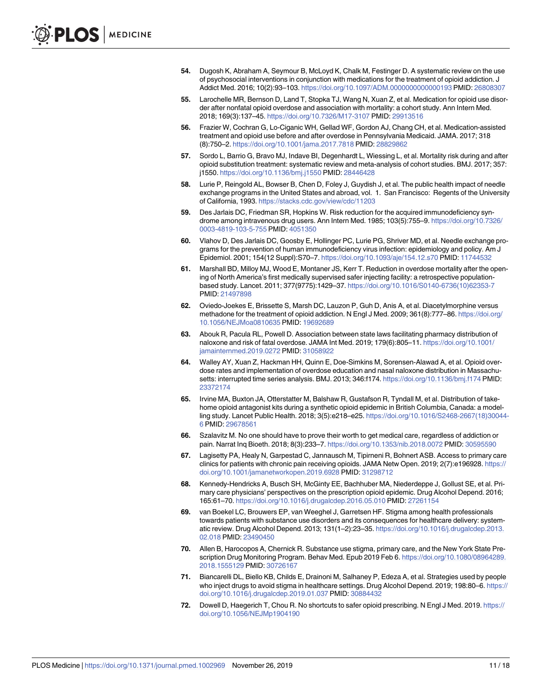- <span id="page-10-0"></span>**[54](#page-3-0).** Dugosh K, Abraham A, Seymour B, McLoyd K, Chalk M, Festinger D. A systematic review on the use of psychosocial interventions in conjunction with medications for the treatment of opioid addiction. J Addict Med. 2016; 10(2):93–103. <https://doi.org/10.1097/ADM.0000000000000193> PMID: [26808307](http://www.ncbi.nlm.nih.gov/pubmed/26808307)
- **[55](#page-3-0).** Larochelle MR, Bernson D, Land T, Stopka TJ, Wang N, Xuan Z, et al. Medication for opioid use disorder after nonfatal opioid overdose and association with mortality: a cohort study. Ann Intern Med. 2018; 169(3):137–45. <https://doi.org/10.7326/M17-3107> PMID: [29913516](http://www.ncbi.nlm.nih.gov/pubmed/29913516)
- **[56](#page-3-0).** Frazier W, Cochran G, Lo-Ciganic WH, Gellad WF, Gordon AJ, Chang CH, et al. Medication-assisted treatment and opioid use before and after overdose in Pennsylvania Medicaid. JAMA. 2017; 318 (8):750–2. <https://doi.org/10.1001/jama.2017.7818> PMID: [28829862](http://www.ncbi.nlm.nih.gov/pubmed/28829862)
- **[57](#page-3-0).** Sordo L, Barrio G, Bravo MJ, Indave BI, Degenhardt L, Wiessing L, et al. Mortality risk during and after opioid substitution treatment: systematic review and meta-analysis of cohort studies. BMJ. 2017; 357: j1550. <https://doi.org/10.1136/bmj.j1550> PMID: [28446428](http://www.ncbi.nlm.nih.gov/pubmed/28446428)
- **[58](#page-3-0).** Lurie P, Reingold AL, Bowser B, Chen D, Foley J, Guydish J, et al. The public health impact of needle exchange programs in the United States and abroad, vol. 1. San Francisco: Regents of the University of California, 1993. <https://stacks.cdc.gov/view/cdc/11203>
- **59.** Des Jarlais DC, Friedman SR, Hopkins W. Risk reduction for the acquired immunodeficiency syndrome among intravenous drug users. Ann Intern Med. 1985; 103(5):755–9. [https://doi.org/10.7326/](https://doi.org/10.7326/0003-4819-103-5-755) [0003-4819-103-5-755](https://doi.org/10.7326/0003-4819-103-5-755) PMID: [4051350](http://www.ncbi.nlm.nih.gov/pubmed/4051350)
- **[60](#page-3-0).** Vlahov D, Des Jarlais DC, Goosby E, Hollinger PC, Lurie PG, Shriver MD, et al. Needle exchange programs for the prevention of human immunodeficiency virus infection: epidemiology and policy. Am J Epidemiol. 2001; 154(12 Suppl):S70–7. <https://doi.org/10.1093/aje/154.12.s70> PMID: [11744532](http://www.ncbi.nlm.nih.gov/pubmed/11744532)
- **[61](#page-3-0).** Marshall BD, Milloy MJ, Wood E, Montaner JS, Kerr T. Reduction in overdose mortality after the opening of North America's first medically supervised safer injecting facility: a retrospective populationbased study. Lancet. 2011; 377(9775):1429–37. [https://doi.org/10.1016/S0140-6736\(10\)62353-7](https://doi.org/10.1016/S0140-6736(10)62353-7) PMID: [21497898](http://www.ncbi.nlm.nih.gov/pubmed/21497898)
- **[62](#page-3-0).** Oviedo-Joekes E, Brissette S, Marsh DC, Lauzon P, Guh D, Anis A, et al. Diacetylmorphine versus methadone for the treatment of opioid addiction. N Engl J Med. 2009; 361(8):777–86. [https://doi.org/](https://doi.org/10.1056/NEJMoa0810635) [10.1056/NEJMoa0810635](https://doi.org/10.1056/NEJMoa0810635) PMID: [19692689](http://www.ncbi.nlm.nih.gov/pubmed/19692689)
- **[63](#page-3-0).** Abouk R, Pacula RL, Powell D. Association between state laws facilitating pharmacy distribution of naloxone and risk of fatal overdose. JAMA Int Med. 2019; 179(6):805–11. [https://doi.org/10.1001/](https://doi.org/10.1001/jamainternmed.2019.0272) [jamainternmed.2019.0272](https://doi.org/10.1001/jamainternmed.2019.0272) PMID: [31058922](http://www.ncbi.nlm.nih.gov/pubmed/31058922)
- **64.** Walley AY, Xuan Z, Hackman HH, Quinn E, Doe-Simkins M, Sorensen-Alawad A, et al. Opioid overdose rates and implementation of overdose education and nasal naloxone distribution in Massachusetts: interrupted time series analysis. BMJ. 2013; 346:f174. <https://doi.org/10.1136/bmj.f174> PMID: [23372174](http://www.ncbi.nlm.nih.gov/pubmed/23372174)
- **[65](#page-3-0).** Irvine MA, Buxton JA, Otterstatter M, Balshaw R, Gustafson R, Tyndall M, et al. Distribution of takehome opioid antagonist kits during a synthetic opioid epidemic in British Columbia, Canada: a modelling study. Lancet Public Health. 2018; 3(5):e218–e25. [https://doi.org/10.1016/S2468-2667\(18\)30044-](https://doi.org/10.1016/S2468-2667(18)30044-6) [6](https://doi.org/10.1016/S2468-2667(18)30044-6) PMID: [29678561](http://www.ncbi.nlm.nih.gov/pubmed/29678561)
- **[66](#page-3-0).** Szalavitz M. No one should have to prove their worth to get medical care, regardless of addiction or pain. Narrat Inq Bioeth. 2018; 8(3):233–7. <https://doi.org/10.1353/nib.2018.0072> PMID: [30595590](http://www.ncbi.nlm.nih.gov/pubmed/30595590)
- **[67](#page-3-0).** Lagisetty PA, Healy N, Garpestad C, Jannausch M, Tipirneni R, Bohnert ASB. Access to primary care clinics for patients with chronic pain receiving opioids. JAMA Netw Open. 2019; 2(7):e196928. [https://](https://doi.org/10.1001/jamanetworkopen.2019.6928) [doi.org/10.1001/jamanetworkopen.2019.6928](https://doi.org/10.1001/jamanetworkopen.2019.6928) PMID: [31298712](http://www.ncbi.nlm.nih.gov/pubmed/31298712)
- **[68](#page-3-0).** Kennedy-Hendricks A, Busch SH, McGinty EE, Bachhuber MA, Niederdeppe J, Gollust SE, et al. Primary care physicians' perspectives on the prescription opioid epidemic. Drug Alcohol Depend. 2016; 165:61–70. <https://doi.org/10.1016/j.drugalcdep.2016.05.010> PMID: [27261154](http://www.ncbi.nlm.nih.gov/pubmed/27261154)
- **[69](#page-3-0).** van Boekel LC, Brouwers EP, van Weeghel J, Garretsen HF. Stigma among health professionals towards patients with substance use disorders and its consequences for healthcare delivery: systematic review. Drug Alcohol Depend. 2013; 131(1–2):23–35. [https://doi.org/10.1016/j.drugalcdep.2013.](https://doi.org/10.1016/j.drugalcdep.2013.02.018) [02.018](https://doi.org/10.1016/j.drugalcdep.2013.02.018) PMID: [23490450](http://www.ncbi.nlm.nih.gov/pubmed/23490450)
- **[70](#page-3-0).** Allen B, Harocopos A, Chernick R. Substance use stigma, primary care, and the New York State Prescription Drug Monitoring Program. Behav Med. Epub 2019 Feb 6. [https://doi.org/10.1080/08964289.](https://doi.org/10.1080/08964289.2018.1555129) [2018.1555129](https://doi.org/10.1080/08964289.2018.1555129) PMID: [30726167](http://www.ncbi.nlm.nih.gov/pubmed/30726167)
- **[71](#page-3-0).** Biancarelli DL, Biello KB, Childs E, Drainoni M, Salhaney P, Edeza A, et al. Strategies used by people who inject drugs to avoid stigma in healthcare settings. Drug Alcohol Depend. 2019; 198:80–6. [https://](https://doi.org/10.1016/j.drugalcdep.2019.01.037) [doi.org/10.1016/j.drugalcdep.2019.01.037](https://doi.org/10.1016/j.drugalcdep.2019.01.037) PMID: [30884432](http://www.ncbi.nlm.nih.gov/pubmed/30884432)
- **[72](#page-3-0).** Dowell D, Haegerich T, Chou R. No shortcuts to safer opioid prescribing. N Engl J Med. 2019. [https://](https://doi.org/10.1056/NEJMp1904190) [doi.org/10.1056/NEJMp1904190](https://doi.org/10.1056/NEJMp1904190)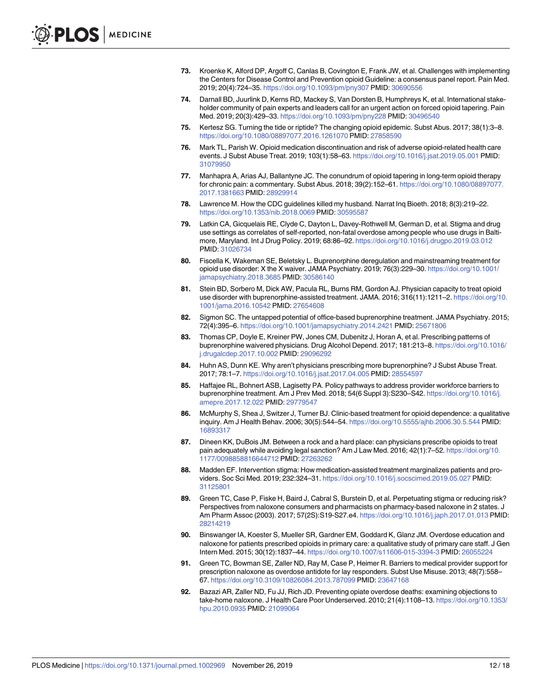- <span id="page-11-0"></span>**[73](#page-3-0).** Kroenke K, Alford DP, Argoff C, Canlas B, Covington E, Frank JW, et al. Challenges with implementing the Centers for Disease Control and Prevention opioid Guideline: a consensus panel report. Pain Med. 2019; 20(4):724–35. <https://doi.org/10.1093/pm/pny307> PMID: [30690556](http://www.ncbi.nlm.nih.gov/pubmed/30690556)
- **74.** Darnall BD, Juurlink D, Kerns RD, Mackey S, Van Dorsten B, Humphreys K, et al. International stakeholder community of pain experts and leaders call for an urgent action on forced opioid tapering. Pain Med. 2019; 20(3):429–33. <https://doi.org/10.1093/pm/pny228> PMID: [30496540](http://www.ncbi.nlm.nih.gov/pubmed/30496540)
- **75.** Kertesz SG. Turning the tide or riptide? The changing opioid epidemic. Subst Abus. 2017; 38(1):3–8. <https://doi.org/10.1080/08897077.2016.1261070> PMID: [27858590](http://www.ncbi.nlm.nih.gov/pubmed/27858590)
- **76.** Mark TL, Parish W. Opioid medication discontinuation and risk of adverse opioid-related health care events. J Subst Abuse Treat. 2019; 103(1):58–63. <https://doi.org/10.1016/j.jsat.2019.05.001> PMID: [31079950](http://www.ncbi.nlm.nih.gov/pubmed/31079950)
- **77.** Manhapra A, Arias AJ, Ballantyne JC. The conundrum of opioid tapering in long-term opioid therapy for chronic pain: a commentary. Subst Abus. 2018; 39(2):152–61. [https://doi.org/10.1080/08897077.](https://doi.org/10.1080/08897077.2017.1381663) [2017.1381663](https://doi.org/10.1080/08897077.2017.1381663) PMID: [28929914](http://www.ncbi.nlm.nih.gov/pubmed/28929914)
- **[78](#page-3-0).** Lawrence M. How the CDC guidelines killed my husband. Narrat Inq Bioeth. 2018; 8(3):219–22. <https://doi.org/10.1353/nib.2018.0069> PMID: [30595587](http://www.ncbi.nlm.nih.gov/pubmed/30595587)
- **[79](#page-3-0).** Latkin CA, Gicquelais RE, Clyde C, Dayton L, Davey-Rothwell M, German D, et al. Stigma and drug use settings as correlates of self-reported, non-fatal overdose among people who use drugs in Baltimore, Maryland. Int J Drug Policy. 2019; 68:86–92. <https://doi.org/10.1016/j.drugpo.2019.03.012> PMID: [31026734](http://www.ncbi.nlm.nih.gov/pubmed/31026734)
- **[80](#page-3-0).** Fiscella K, Wakeman SE, Beletsky L. Buprenorphine deregulation and mainstreaming treatment for opioid use disorder: X the X waiver. JAMA Psychiatry. 2019; 76(3):229–30. [https://doi.org/10.1001/](https://doi.org/10.1001/jamapsychiatry.2018.3685) [jamapsychiatry.2018.3685](https://doi.org/10.1001/jamapsychiatry.2018.3685) PMID: [30586140](http://www.ncbi.nlm.nih.gov/pubmed/30586140)
- **[81](#page-3-0).** Stein BD, Sorbero M, Dick AW, Pacula RL, Burns RM, Gordon AJ. Physician capacity to treat opioid use disorder with buprenorphine-assisted treatment. JAMA. 2016; 316(11):1211–2. [https://doi.org/10.](https://doi.org/10.1001/jama.2016.10542) [1001/jama.2016.10542](https://doi.org/10.1001/jama.2016.10542) PMID: [27654608](http://www.ncbi.nlm.nih.gov/pubmed/27654608)
- **82.** Sigmon SC. The untapped potential of office-based buprenorphine treatment. JAMA Psychiatry. 2015; 72(4):395–6. <https://doi.org/10.1001/jamapsychiatry.2014.2421> PMID: [25671806](http://www.ncbi.nlm.nih.gov/pubmed/25671806)
- **[83](#page-3-0).** Thomas CP, Doyle E, Kreiner PW, Jones CM, Dubenitz J, Horan A, et al. Prescribing patterns of buprenorphine waivered physicians. Drug Alcohol Depend. 2017; 181:213–8. [https://doi.org/10.1016/](https://doi.org/10.1016/j.drugalcdep.2017.10.002) [j.drugalcdep.2017.10.002](https://doi.org/10.1016/j.drugalcdep.2017.10.002) PMID: [29096292](http://www.ncbi.nlm.nih.gov/pubmed/29096292)
- **[84](#page-3-0).** Huhn AS, Dunn KE. Why aren't physicians prescribing more buprenorphine? J Subst Abuse Treat. 2017; 78:1–7. <https://doi.org/10.1016/j.jsat.2017.04.005> PMID: [28554597](http://www.ncbi.nlm.nih.gov/pubmed/28554597)
- **[85](#page-3-0).** Haffajee RL, Bohnert ASB, Lagisetty PA. Policy pathways to address provider workforce barriers to buprenorphine treatment. Am J Prev Med. 2018; 54(6 Suppl 3):S230–S42. [https://doi.org/10.1016/j.](https://doi.org/10.1016/j.amepre.2017.12.022) [amepre.2017.12.022](https://doi.org/10.1016/j.amepre.2017.12.022) PMID: [29779547](http://www.ncbi.nlm.nih.gov/pubmed/29779547)
- **[86](#page-3-0).** McMurphy S, Shea J, Switzer J, Turner BJ. Clinic-based treatment for opioid dependence: a qualitative inquiry. Am J Health Behav. 2006; 30(5):544–54. <https://doi.org/10.5555/ajhb.2006.30.5.544> PMID: [16893317](http://www.ncbi.nlm.nih.gov/pubmed/16893317)
- **[87](#page-3-0).** Dineen KK, DuBois JM. Between a rock and a hard place: can physicians prescribe opioids to treat pain adequately while avoiding legal sanction? Am J Law Med. 2016; 42(1):7–52. [https://doi.org/10.](https://doi.org/10.1177/0098858816644712) [1177/0098858816644712](https://doi.org/10.1177/0098858816644712) PMID: [27263262](http://www.ncbi.nlm.nih.gov/pubmed/27263262)
- **[88](#page-3-0).** Madden EF. Intervention stigma: How medication-assisted treatment marginalizes patients and providers. Soc Sci Med. 2019; 232:324–31. <https://doi.org/10.1016/j.socscimed.2019.05.027> PMID: [31125801](http://www.ncbi.nlm.nih.gov/pubmed/31125801)
- **[89](#page-3-0).** Green TC, Case P, Fiske H, Baird J, Cabral S, Burstein D, et al. Perpetuating stigma or reducing risk? Perspectives from naloxone consumers and pharmacists on pharmacy-based naloxone in 2 states. J Am Pharm Assoc (2003). 2017; 57(2S):S19-S27.e4. <https://doi.org/10.1016/j.japh.2017.01.013> PMID: [28214219](http://www.ncbi.nlm.nih.gov/pubmed/28214219)
- **[90](#page-3-0).** Binswanger IA, Koester S, Mueller SR, Gardner EM, Goddard K, Glanz JM. Overdose education and naloxone for patients prescribed opioids in primary care: a qualitative study of primary care staff. J Gen Intern Med. 2015; 30(12):1837–44. <https://doi.org/10.1007/s11606-015-3394-3> PMID: [26055224](http://www.ncbi.nlm.nih.gov/pubmed/26055224)
- **91.** Green TC, Bowman SE, Zaller ND, Ray M, Case P, Heimer R. Barriers to medical provider support for prescription naloxone as overdose antidote for lay responders. Subst Use Misuse. 2013; 48(7):558– 67. <https://doi.org/10.3109/10826084.2013.787099> PMID: [23647168](http://www.ncbi.nlm.nih.gov/pubmed/23647168)
- **[92](#page-3-0).** Bazazi AR, Zaller ND, Fu JJ, Rich JD. Preventing opiate overdose deaths: examining objections to take-home naloxone. J Health Care Poor Underserved. 2010; 21(4):1108–13. [https://doi.org/10.1353/](https://doi.org/10.1353/hpu.2010.0935) [hpu.2010.0935](https://doi.org/10.1353/hpu.2010.0935) PMID: [21099064](http://www.ncbi.nlm.nih.gov/pubmed/21099064)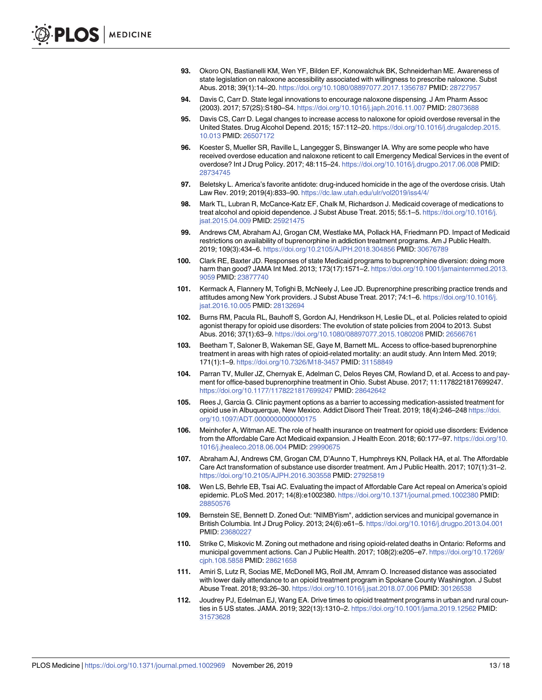- <span id="page-12-0"></span>**[93](#page-3-0).** Okoro ON, Bastianelli KM, Wen YF, Bilden EF, Konowalchuk BK, Schneiderhan ME. Awareness of state legislation on naloxone accessibility associated with willingness to prescribe naloxone. Subst Abus. 2018; 39(1):14–20. <https://doi.org/10.1080/08897077.2017.1356787> PMID: [28727957](http://www.ncbi.nlm.nih.gov/pubmed/28727957)
- **[94](#page-3-0).** Davis C, Carr D. State legal innovations to encourage naloxone dispensing. J Am Pharm Assoc (2003). 2017; 57(2S):S180–S4. <https://doi.org/10.1016/j.japh.2016.11.007> PMID: [28073688](http://www.ncbi.nlm.nih.gov/pubmed/28073688)
- **[95](#page-3-0).** Davis CS, Carr D. Legal changes to increase access to naloxone for opioid overdose reversal in the United States. Drug Alcohol Depend. 2015; 157:112–20. [https://doi.org/10.1016/j.drugalcdep.2015.](https://doi.org/10.1016/j.drugalcdep.2015.10.013) [10.013](https://doi.org/10.1016/j.drugalcdep.2015.10.013) PMID: [26507172](http://www.ncbi.nlm.nih.gov/pubmed/26507172)
- **[96](#page-3-0).** Koester S, Mueller SR, Raville L, Langegger S, Binswanger IA. Why are some people who have received overdose education and naloxone reticent to call Emergency Medical Services in the event of overdose? Int J Drug Policy. 2017; 48:115–24. <https://doi.org/10.1016/j.drugpo.2017.06.008> PMID: [28734745](http://www.ncbi.nlm.nih.gov/pubmed/28734745)
- **[97](#page-3-0).** Beletsky L. America's favorite antidote: drug-induced homicide in the age of the overdose crisis. Utah Law Rev. 2019; 2019(4):833–90. <https://dc.law.utah.edu/ulr/vol2019/iss4/4/>
- **[98](#page-4-0).** Mark TL, Lubran R, McCance-Katz EF, Chalk M, Richardson J. Medicaid coverage of medications to treat alcohol and opioid dependence. J Subst Abuse Treat. 2015; 55:1–5. [https://doi.org/10.1016/j.](https://doi.org/10.1016/j.jsat.2015.04.009) [jsat.2015.04.009](https://doi.org/10.1016/j.jsat.2015.04.009) PMID: [25921475](http://www.ncbi.nlm.nih.gov/pubmed/25921475)
- **[99](#page-4-0).** Andrews CM, Abraham AJ, Grogan CM, Westlake MA, Pollack HA, Friedmann PD. Impact of Medicaid restrictions on availability of buprenorphine in addiction treatment programs. Am J Public Health. 2019; 109(3):434–6. <https://doi.org/10.2105/AJPH.2018.304856> PMID: [30676789](http://www.ncbi.nlm.nih.gov/pubmed/30676789)
- **100.** Clark RE, Baxter JD. Responses of state Medicaid programs to buprenorphine diversion: doing more harm than good? JAMA Int Med. 2013; 173(17):1571–2. [https://doi.org/10.1001/jamainternmed.2013.](https://doi.org/10.1001/jamainternmed.2013.9059) [9059](https://doi.org/10.1001/jamainternmed.2013.9059) PMID: [23877740](http://www.ncbi.nlm.nih.gov/pubmed/23877740)
- **101.** Kermack A, Flannery M, Tofighi B, McNeely J, Lee JD. Buprenorphine prescribing practice trends and attitudes among New York providers. J Subst Abuse Treat. 2017; 74:1–6. [https://doi.org/10.1016/j.](https://doi.org/10.1016/j.jsat.2016.10.005) [jsat.2016.10.005](https://doi.org/10.1016/j.jsat.2016.10.005) PMID: [28132694](http://www.ncbi.nlm.nih.gov/pubmed/28132694)
- **[102](#page-4-0).** Burns RM, Pacula RL, Bauhoff S, Gordon AJ, Hendrikson H, Leslie DL, et al. Policies related to opioid agonist therapy for opioid use disorders: The evolution of state policies from 2004 to 2013. Subst Abus. 2016; 37(1):63–9. <https://doi.org/10.1080/08897077.2015.1080208> PMID: [26566761](http://www.ncbi.nlm.nih.gov/pubmed/26566761)
- **[103](#page-4-0).** Beetham T, Saloner B, Wakeman SE, Gaye M, Barnett ML. Access to office-based buprenorphine treatment in areas with high rates of opioid-related mortality: an audit study. Ann Intern Med. 2019; 171(1):1–9. <https://doi.org/10.7326/M18-3457> PMID: [31158849](http://www.ncbi.nlm.nih.gov/pubmed/31158849)
- **104.** Parran TV, Muller JZ, Chernyak E, Adelman C, Delos Reyes CM, Rowland D, et al. Access to and payment for office-based buprenorphine treatment in Ohio. Subst Abuse. 2017; 11:1178221817699247. <https://doi.org/10.1177/1178221817699247> PMID: [28642642](http://www.ncbi.nlm.nih.gov/pubmed/28642642)
- **[105](#page-4-0).** Rees J, Garcia G. Clinic payment options as a barrier to accessing medication-assisted treatment for opioid use in Albuquerque, New Mexico. Addict Disord Their Treat. 2019; 18(4):246–248 [https://doi.](https://doi.org/10.1097/ADT.0000000000000175) [org/10.1097/ADT.0000000000000175](https://doi.org/10.1097/ADT.0000000000000175)
- **[106](#page-4-0).** Meinhofer A, Witman AE. The role of health insurance on treatment for opioid use disorders: Evidence from the Affordable Care Act Medicaid expansion. J Health Econ. 2018; 60:177–97. [https://doi.org/10.](https://doi.org/10.1016/j.jhealeco.2018.06.004) [1016/j.jhealeco.2018.06.004](https://doi.org/10.1016/j.jhealeco.2018.06.004) PMID: [29990675](http://www.ncbi.nlm.nih.gov/pubmed/29990675)
- **[107](#page-4-0).** Abraham AJ, Andrews CM, Grogan CM, D'Aunno T, Humphreys KN, Pollack HA, et al. The Affordable Care Act transformation of substance use disorder treatment. Am J Public Health. 2017; 107(1):31–2. <https://doi.org/10.2105/AJPH.2016.303558> PMID: [27925819](http://www.ncbi.nlm.nih.gov/pubmed/27925819)
- **[108](#page-4-0).** Wen LS, Behrle EB, Tsai AC. Evaluating the impact of Affordable Care Act repeal on America's opioid epidemic. PLoS Med. 2017; 14(8):e1002380. <https://doi.org/10.1371/journal.pmed.1002380> PMID: [28850576](http://www.ncbi.nlm.nih.gov/pubmed/28850576)
- **[109](#page-4-0).** Bernstein SE, Bennett D. Zoned Out: "NIMBYism", addiction services and municipal governance in British Columbia. Int J Drug Policy. 2013; 24(6):e61–5. <https://doi.org/10.1016/j.drugpo.2013.04.001> PMID: [23680227](http://www.ncbi.nlm.nih.gov/pubmed/23680227)
- **[110](#page-4-0).** Strike C, Miskovic M. Zoning out methadone and rising opioid-related deaths in Ontario: Reforms and municipal government actions. Can J Public Health. 2017; 108(2):e205–e7. [https://doi.org/10.17269/](https://doi.org/10.17269/cjph.108.5858) [cjph.108.5858](https://doi.org/10.17269/cjph.108.5858) PMID: [28621658](http://www.ncbi.nlm.nih.gov/pubmed/28621658)
- **[111](#page-4-0).** Amiri S, Lutz R, Socias ME, McDonell MG, Roll JM, Amram O. Increased distance was associated with lower daily attendance to an opioid treatment program in Spokane County Washington. J Subst Abuse Treat. 2018; 93:26–30. <https://doi.org/10.1016/j.jsat.2018.07.006> PMID: [30126538](http://www.ncbi.nlm.nih.gov/pubmed/30126538)
- **[112](#page-4-0).** Joudrey PJ, Edelman EJ, Wang EA. Drive times to opioid treatment programs in urban and rural counties in 5 US states. JAMA. 2019; 322(13):1310–2. <https://doi.org/10.1001/jama.2019.12562> PMID: [31573628](http://www.ncbi.nlm.nih.gov/pubmed/31573628)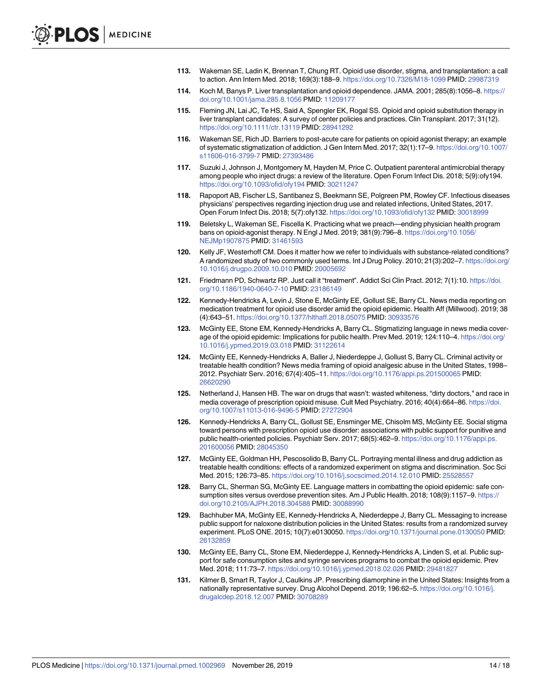- <span id="page-13-0"></span>**[113](#page-4-0).** Wakeman SE, Ladin K, Brennan T, Chung RT. Opioid use disorder, stigma, and transplantation: a call to action. Ann Intern Med. 2018; 169(3):188–9. <https://doi.org/10.7326/M18-1099> PMID: [29987319](http://www.ncbi.nlm.nih.gov/pubmed/29987319)
- **114.** Koch M, Banys P. Liver transplantation and opioid dependence. JAMA. 2001; 285(8):1056–8. [https://](https://doi.org/10.1001/jama.285.8.1056) [doi.org/10.1001/jama.285.8.1056](https://doi.org/10.1001/jama.285.8.1056) PMID: [11209177](http://www.ncbi.nlm.nih.gov/pubmed/11209177)
- **[115](#page-4-0).** Fleming JN, Lai JC, Te HS, Said A, Spengler EK, Rogal SS. Opioid and opioid substitution therapy in liver transplant candidates: A survey of center policies and practices. Clin Transplant. 2017; 31(12). <https://doi.org/10.1111/ctr.13119> PMID: [28941292](http://www.ncbi.nlm.nih.gov/pubmed/28941292)
- **[116](#page-4-0).** Wakeman SE, Rich JD. Barriers to post-acute care for patients on opioid agonist therapy; an example of systematic stigmatization of addiction. J Gen Intern Med. 2017; 32(1):17–9. [https://doi.org/10.1007/](https://doi.org/10.1007/s11606-016-3799-7) [s11606-016-3799-7](https://doi.org/10.1007/s11606-016-3799-7) PMID: [27393486](http://www.ncbi.nlm.nih.gov/pubmed/27393486)
- **[117](#page-4-0).** Suzuki J, Johnson J, Montgomery M, Hayden M, Price C. Outpatient parenteral antimicrobial therapy among people who inject drugs: a review of the literature. Open Forum Infect Dis. 2018; 5(9):ofy194. <https://doi.org/10.1093/ofid/ofy194> PMID: [30211247](http://www.ncbi.nlm.nih.gov/pubmed/30211247)
- **[118](#page-4-0).** Rapoport AB, Fischer LS, Santibanez S, Beekmann SE, Polgreen PM, Rowley CF. Infectious diseases physicians' perspectives regarding injection drug use and related infections, United States, 2017. Open Forum Infect Dis. 2018; 5(7):ofy132. <https://doi.org/10.1093/ofid/ofy132> PMID: [30018999](http://www.ncbi.nlm.nih.gov/pubmed/30018999)
- **[119](#page-4-0).** Beletsky L, Wakeman SE, Fiscella K. Practicing what we preach—ending physician health program bans on opioid-agonist therapy. N Engl J Med. 2019; 381(9):796–8. [https://doi.org/10.1056/](https://doi.org/10.1056/NEJMp1907875) [NEJMp1907875](https://doi.org/10.1056/NEJMp1907875) PMID: [31461593](http://www.ncbi.nlm.nih.gov/pubmed/31461593)
- **[120](#page-4-0).** Kelly JF, Westerhoff CM. Does it matter how we refer to individuals with substance-related conditions? A randomized study of two commonly used terms. Int J Drug Policy. 2010; 21(3):202–7. [https://doi.org/](https://doi.org/10.1016/j.drugpo.2009.10.010) [10.1016/j.drugpo.2009.10.010](https://doi.org/10.1016/j.drugpo.2009.10.010) PMID: [20005692](http://www.ncbi.nlm.nih.gov/pubmed/20005692)
- **[121](#page-4-0).** Friedmann PD, Schwartz RP. Just call it "treatment". Addict Sci Clin Pract. 2012; 7(1):10. [https://doi.](https://doi.org/10.1186/1940-0640-7-10) [org/10.1186/1940-0640-7-10](https://doi.org/10.1186/1940-0640-7-10) PMID: [23186149](http://www.ncbi.nlm.nih.gov/pubmed/23186149)
- **[122](#page-4-0).** Kennedy-Hendricks A, Levin J, Stone E, McGinty EE, Gollust SE, Barry CL. News media reporting on medication treatment for opioid use disorder amid the opioid epidemic. Health Aff (Millwood). 2019; 38 (4):643–51. <https://doi.org/10.1377/hlthaff.2018.05075> PMID: [30933576](http://www.ncbi.nlm.nih.gov/pubmed/30933576)
- **[123](#page-4-0).** McGinty EE, Stone EM, Kennedy-Hendricks A, Barry CL. Stigmatizing language in news media coverage of the opioid epidemic: Implications for public health. Prev Med. 2019; 124:110–4. [https://doi.org/](https://doi.org/10.1016/j.ypmed.2019.03.018) [10.1016/j.ypmed.2019.03.018](https://doi.org/10.1016/j.ypmed.2019.03.018) PMID: [31122614](http://www.ncbi.nlm.nih.gov/pubmed/31122614)
- **[124](#page-4-0).** McGinty EE, Kennedy-Hendricks A, Baller J, Niederdeppe J, Gollust S, Barry CL. Criminal activity or treatable health condition? News media framing of opioid analgesic abuse in the United States, 1998– 2012. Psychiatr Serv. 2016; 67(4):405–11. <https://doi.org/10.1176/appi.ps.201500065> PMID: [26620290](http://www.ncbi.nlm.nih.gov/pubmed/26620290)
- **[125](#page-4-0).** Netherland J, Hansen HB. The war on drugs that wasn't: wasted whiteness, "dirty doctors," and race in media coverage of prescription opioid misuse. Cult Med Psychiatry. 2016; 40(4):664–86. [https://doi.](https://doi.org/10.1007/s11013-016-9496-5) [org/10.1007/s11013-016-9496-5](https://doi.org/10.1007/s11013-016-9496-5) PMID: [27272904](http://www.ncbi.nlm.nih.gov/pubmed/27272904)
- **[126](#page-4-0).** Kennedy-Hendricks A, Barry CL, Gollust SE, Ensminger ME, Chisolm MS, McGinty EE. Social stigma toward persons with prescription opioid use disorder: associations with public support for punitive and public health-oriented policies. Psychiatr Serv. 2017; 68(5):462–9. [https://doi.org/10.1176/appi.ps.](https://doi.org/10.1176/appi.ps.201600056) [201600056](https://doi.org/10.1176/appi.ps.201600056) PMID: [28045350](http://www.ncbi.nlm.nih.gov/pubmed/28045350)
- **127.** McGinty EE, Goldman HH, Pescosolido B, Barry CL. Portraying mental illness and drug addiction as treatable health conditions: effects of a randomized experiment on stigma and discrimination. Soc Sci Med. 2015; 126:73–85. <https://doi.org/10.1016/j.socscimed.2014.12.010> PMID: [25528557](http://www.ncbi.nlm.nih.gov/pubmed/25528557)
- **128.** Barry CL, Sherman SG, McGinty EE. Language matters in combatting the opioid epidemic: safe consumption sites versus overdose prevention sites. Am J Public Health. 2018; 108(9):1157–9. [https://](https://doi.org/10.2105/AJPH.2018.304588) [doi.org/10.2105/AJPH.2018.304588](https://doi.org/10.2105/AJPH.2018.304588) PMID: [30088990](http://www.ncbi.nlm.nih.gov/pubmed/30088990)
- **[129](#page-6-0).** Bachhuber MA, McGinty EE, Kennedy-Hendricks A, Niederdeppe J, Barry CL. Messaging to increase public support for naloxone distribution policies in the United States: results from a randomized survey experiment. PLoS ONE. 2015; 10(7):e0130050. <https://doi.org/10.1371/journal.pone.0130050> PMID: [26132859](http://www.ncbi.nlm.nih.gov/pubmed/26132859)
- **130.** McGinty EE, Barry CL, Stone EM, Niederdeppe J, Kennedy-Hendricks A, Linden S, et al. Public support for safe consumption sites and syringe services programs to combat the opioid epidemic. Prev Med. 2018; 111:73–7. <https://doi.org/10.1016/j.ypmed.2018.02.026> PMID: [29481827](http://www.ncbi.nlm.nih.gov/pubmed/29481827)
- **[131](#page-4-0).** Kilmer B, Smart R, Taylor J, Caulkins JP. Prescribing diamorphine in the United States: Insights from a nationally representative survey. Drug Alcohol Depend. 2019; 196:62–5. [https://doi.org/10.1016/j.](https://doi.org/10.1016/j.drugalcdep.2018.12.007) [drugalcdep.2018.12.007](https://doi.org/10.1016/j.drugalcdep.2018.12.007) PMID: [30708289](http://www.ncbi.nlm.nih.gov/pubmed/30708289)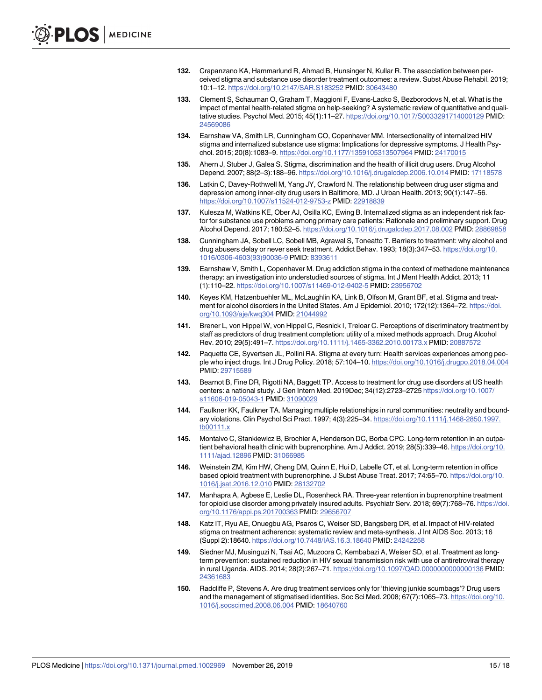- <span id="page-14-0"></span>**[132](#page-4-0).** Crapanzano KA, Hammarlund R, Ahmad B, Hunsinger N, Kullar R. The association between perceived stigma and substance use disorder treatment outcomes: a review. Subst Abuse Rehabil. 2019; 10:1–12. <https://doi.org/10.2147/SAR.S183252> PMID: [30643480](http://www.ncbi.nlm.nih.gov/pubmed/30643480)
- **[133](#page-4-0).** Clement S, Schauman O, Graham T, Maggioni F, Evans-Lacko S, Bezborodovs N, et al. What is the impact of mental health-related stigma on help-seeking? A systematic review of quantitative and qualitative studies. Psychol Med. 2015; 45(1):11–27. <https://doi.org/10.1017/S0033291714000129> PMID: [24569086](http://www.ncbi.nlm.nih.gov/pubmed/24569086)
- **[134](#page-4-0).** Earnshaw VA, Smith LR, Cunningham CO, Copenhaver MM. Intersectionality of internalized HIV stigma and internalized substance use stigma: Implications for depressive symptoms. J Health Psychol. 2015; 20(8):1083–9. <https://doi.org/10.1177/1359105313507964> PMID: [24170015](http://www.ncbi.nlm.nih.gov/pubmed/24170015)
- **[135](#page-5-0).** Ahern J, Stuber J, Galea S. Stigma, discrimination and the health of illicit drug users. Drug Alcohol Depend. 2007; 88(2–3):188–96. <https://doi.org/10.1016/j.drugalcdep.2006.10.014> PMID: [17118578](http://www.ncbi.nlm.nih.gov/pubmed/17118578)
- **[136](#page-4-0).** Latkin C, Davey-Rothwell M, Yang JY, Crawford N. The relationship between drug user stigma and depression among inner-city drug users in Baltimore, MD. J Urban Health. 2013; 90(1):147–56. <https://doi.org/10.1007/s11524-012-9753-z> PMID: [22918839](http://www.ncbi.nlm.nih.gov/pubmed/22918839)
- **[137](#page-4-0).** Kulesza M, Watkins KE, Ober AJ, Osilla KC, Ewing B. Internalized stigma as an independent risk factor for substance use problems among primary care patients: Rationale and preliminary support. Drug Alcohol Depend. 2017; 180:52–5. <https://doi.org/10.1016/j.drugalcdep.2017.08.002> PMID: [28869858](http://www.ncbi.nlm.nih.gov/pubmed/28869858)
- **[138](#page-4-0).** Cunningham JA, Sobell LC, Sobell MB, Agrawal S, Toneatto T. Barriers to treatment: why alcohol and drug abusers delay or never seek treatment. Addict Behav. 1993; 18(3):347–53. [https://doi.org/10.](https://doi.org/10.1016/0306-4603(93)90036-9) [1016/0306-4603\(93\)90036-9](https://doi.org/10.1016/0306-4603(93)90036-9) PMID: [8393611](http://www.ncbi.nlm.nih.gov/pubmed/8393611)
- **[139](#page-5-0).** Earnshaw V, Smith L, Copenhaver M. Drug addiction stigma in the context of methadone maintenance therapy: an investigation into understudied sources of stigma. Int J Ment Health Addict. 2013; 11 (1):110–22. <https://doi.org/10.1007/s11469-012-9402-5> PMID: [23956702](http://www.ncbi.nlm.nih.gov/pubmed/23956702)
- **[140](#page-5-0).** Keyes KM, Hatzenbuehler ML, McLaughlin KA, Link B, Olfson M, Grant BF, et al. Stigma and treatment for alcohol disorders in the United States. Am J Epidemiol. 2010; 172(12):1364–72. [https://doi.](https://doi.org/10.1093/aje/kwq304) [org/10.1093/aje/kwq304](https://doi.org/10.1093/aje/kwq304) PMID: [21044992](http://www.ncbi.nlm.nih.gov/pubmed/21044992)
- **141.** Brener L, von Hippel W, von Hippel C, Resnick I, Treloar C. Perceptions of discriminatory treatment by staff as predictors of drug treatment completion: utility of a mixed methods approach. Drug Alcohol Rev. 2010; 29(5):491–7. <https://doi.org/10.1111/j.1465-3362.2010.00173.x> PMID: [20887572](http://www.ncbi.nlm.nih.gov/pubmed/20887572)
- **[142](#page-5-0).** Paquette CE, Syvertsen JL, Pollini RA. Stigma at every turn: Health services experiences among people who inject drugs. Int J Drug Policy. 2018; 57:104–10. <https://doi.org/10.1016/j.drugpo.2018.04.004> PMID: [29715589](http://www.ncbi.nlm.nih.gov/pubmed/29715589)
- **[143](#page-5-0).** Bearnot B, Fine DR, Rigotti NA, Baggett TP. Access to treatment for drug use disorders at US health centers: a national study. J Gen Intern Med. 2019Dec; 34(12):2723–2725 [https://doi.org/10.1007/](https://doi.org/10.1007/s11606-019-05043-1) [s11606-019-05043-1](https://doi.org/10.1007/s11606-019-05043-1) PMID: [31090029](http://www.ncbi.nlm.nih.gov/pubmed/31090029)
- **[144](#page-5-0).** Faulkner KK, Faulkner TA. Managing multiple relationships in rural communities: neutrality and boundary violations. Clin Psychol Sci Pract. 1997; 4(3):225–34. [https://doi.org/10.1111/j.1468-2850.1997.](https://doi.org/10.1111/j.1468-2850.1997.tb00111.x) [tb00111.x](https://doi.org/10.1111/j.1468-2850.1997.tb00111.x)
- **[145](#page-5-0).** Montalvo C, Stankiewicz B, Brochier A, Henderson DC, Borba CPC. Long-term retention in an outpatient behavioral health clinic with buprenorphine. Am J Addict. 2019; 28(5):339–46. [https://doi.org/10.](https://doi.org/10.1111/ajad.12896) [1111/ajad.12896](https://doi.org/10.1111/ajad.12896) PMID: [31066985](http://www.ncbi.nlm.nih.gov/pubmed/31066985)
- **[146](#page-6-0).** Weinstein ZM, Kim HW, Cheng DM, Quinn E, Hui D, Labelle CT, et al. Long-term retention in office based opioid treatment with buprenorphine. J Subst Abuse Treat. 2017; 74:65–70. [https://doi.org/10.](https://doi.org/10.1016/j.jsat.2016.12.010) [1016/j.jsat.2016.12.010](https://doi.org/10.1016/j.jsat.2016.12.010) PMID: [28132702](http://www.ncbi.nlm.nih.gov/pubmed/28132702)
- **[147](#page-5-0).** Manhapra A, Agbese E, Leslie DL, Rosenheck RA. Three-year retention in buprenorphine treatment for opioid use disorder among privately insured adults. Psychiatr Serv. 2018; 69(7):768–76. [https://doi.](https://doi.org/10.1176/appi.ps.201700363) [org/10.1176/appi.ps.201700363](https://doi.org/10.1176/appi.ps.201700363) PMID: [29656707](http://www.ncbi.nlm.nih.gov/pubmed/29656707)
- **[148](#page-5-0).** Katz IT, Ryu AE, Onuegbu AG, Psaros C, Weiser SD, Bangsberg DR, et al. Impact of HIV-related stigma on treatment adherence: systematic review and meta-synthesis. J Int AIDS Soc. 2013; 16 (Suppl 2):18640. <https://doi.org/10.7448/IAS.16.3.18640> PMID: [24242258](http://www.ncbi.nlm.nih.gov/pubmed/24242258)
- **[149](#page-5-0).** Siedner MJ, Musinguzi N, Tsai AC, Muzoora C, Kembabazi A, Weiser SD, et al. Treatment as longterm prevention: sustained reduction in HIV sexual transmission risk with use of antiretroviral therapy in rural Uganda. AIDS. 2014; 28(2):267–71. <https://doi.org/10.1097/QAD.0000000000000136> PMID: [24361683](http://www.ncbi.nlm.nih.gov/pubmed/24361683)
- **[150](#page-5-0).** Radcliffe P, Stevens A. Are drug treatment services only for 'thieving junkie scumbags'? Drug users and the management of stigmatised identities. Soc Sci Med. 2008; 67(7):1065–73. [https://doi.org/10.](https://doi.org/10.1016/j.socscimed.2008.06.004) [1016/j.socscimed.2008.06.004](https://doi.org/10.1016/j.socscimed.2008.06.004) PMID: [18640760](http://www.ncbi.nlm.nih.gov/pubmed/18640760)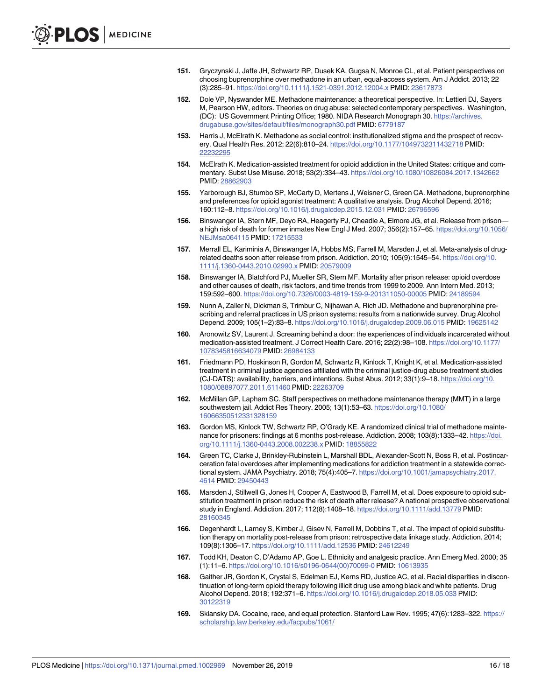- <span id="page-15-0"></span>**[151](#page-5-0).** Gryczynski J, Jaffe JH, Schwartz RP, Dusek KA, Gugsa N, Monroe CL, et al. Patient perspectives on choosing buprenorphine over methadone in an urban, equal-access system. Am J Addict. 2013; 22 (3):285–91. <https://doi.org/10.1111/j.1521-0391.2012.12004.x> PMID: [23617873](http://www.ncbi.nlm.nih.gov/pubmed/23617873)
- **[152](#page-5-0).** Dole VP, Nyswander ME. Methadone maintenance: a theoretical perspective. In: Lettieri DJ, Sayers M, Pearson HW, editors. Theories on drug abuse: selected contemporary perspectives. Washington, (DC): US Government Printing Office; 1980. NIDA Research Monograph 30. [https://archives.](https://archives.drugabuse.gov/sites/default/files/monograph30.pdf) [drugabuse.gov/sites/default/files/monograph30.pdf](https://archives.drugabuse.gov/sites/default/files/monograph30.pdf) PMID: [6779187](http://www.ncbi.nlm.nih.gov/pubmed/6779187)
- **153.** Harris J, McElrath K. Methadone as social control: institutionalized stigma and the prospect of recovery. Qual Health Res. 2012; 22(6):810–24. <https://doi.org/10.1177/1049732311432718> PMID: [22232295](http://www.ncbi.nlm.nih.gov/pubmed/22232295)
- **[154](#page-5-0).** McElrath K. Medication-assisted treatment for opioid addiction in the United States: critique and commentary. Subst Use Misuse. 2018; 53(2):334–43. <https://doi.org/10.1080/10826084.2017.1342662> PMID: [28862903](http://www.ncbi.nlm.nih.gov/pubmed/28862903)
- **[155](#page-5-0).** Yarborough BJ, Stumbo SP, McCarty D, Mertens J, Weisner C, Green CA. Methadone, buprenorphine and preferences for opioid agonist treatment: A qualitative analysis. Drug Alcohol Depend. 2016; 160:112–8. <https://doi.org/10.1016/j.drugalcdep.2015.12.031> PMID: [26796596](http://www.ncbi.nlm.nih.gov/pubmed/26796596)
- **[156](#page-5-0).** Binswanger IA, Stern MF, Deyo RA, Heagerty PJ, Cheadle A, Elmore JG, et al. Release from prison a high risk of death for former inmates New Engl J Med. 2007; 356(2):157–65. [https://doi.org/10.1056/](https://doi.org/10.1056/NEJMsa064115) [NEJMsa064115](https://doi.org/10.1056/NEJMsa064115) PMID: [17215533](http://www.ncbi.nlm.nih.gov/pubmed/17215533)
- **157.** Merrall EL, Kariminia A, Binswanger IA, Hobbs MS, Farrell M, Marsden J, et al. Meta-analysis of drugrelated deaths soon after release from prison. Addiction. 2010; 105(9):1545–54. [https://doi.org/10.](https://doi.org/10.1111/j.1360-0443.2010.02990.x) [1111/j.1360-0443.2010.02990.x](https://doi.org/10.1111/j.1360-0443.2010.02990.x) PMID: [20579009](http://www.ncbi.nlm.nih.gov/pubmed/20579009)
- **[158](#page-5-0).** Binswanger IA, Blatchford PJ, Mueller SR, Stern MF. Mortality after prison release: opioid overdose and other causes of death, risk factors, and time trends from 1999 to 2009. Ann Intern Med. 2013; 159:592–600. <https://doi.org/10.7326/0003-4819-159-9-201311050-00005> PMID: [24189594](http://www.ncbi.nlm.nih.gov/pubmed/24189594)
- **[159](#page-5-0).** Nunn A, Zaller N, Dickman S, Trimbur C, Nijhawan A, Rich JD. Methadone and buprenorphine prescribing and referral practices in US prison systems: results from a nationwide survey. Drug Alcohol Depend. 2009; 105(1–2):83–8. <https://doi.org/10.1016/j.drugalcdep.2009.06.015> PMID: [19625142](http://www.ncbi.nlm.nih.gov/pubmed/19625142)
- **160.** Aronowitz SV, Laurent J. Screaming behind a door: the experiences of individuals incarcerated without medication-assisted treatment. J Correct Health Care. 2016; 22(2):98–108. [https://doi.org/10.1177/](https://doi.org/10.1177/1078345816634079) [1078345816634079](https://doi.org/10.1177/1078345816634079) PMID: [26984133](http://www.ncbi.nlm.nih.gov/pubmed/26984133)
- **[161](#page-5-0).** Friedmann PD, Hoskinson R, Gordon M, Schwartz R, Kinlock T, Knight K, et al. Medication-assisted treatment in criminal justice agencies affiliated with the criminal justice-drug abuse treatment studies (CJ-DATS): availability, barriers, and intentions. Subst Abus. 2012; 33(1):9–18. [https://doi.org/10.](https://doi.org/10.1080/08897077.2011.611460) [1080/08897077.2011.611460](https://doi.org/10.1080/08897077.2011.611460) PMID: [22263709](http://www.ncbi.nlm.nih.gov/pubmed/22263709)
- **[162](#page-5-0).** McMillan GP, Lapham SC. Staff perspectives on methadone maintenance therapy (MMT) in a large southwestern jail. Addict Res Theory. 2005; 13(1):53–63. [https://doi.org/10.1080/](https://doi.org/10.1080/16066350512331328159) [16066350512331328159](https://doi.org/10.1080/16066350512331328159)
- **[163](#page-5-0).** Gordon MS, Kinlock TW, Schwartz RP, O'Grady KE. A randomized clinical trial of methadone maintenance for prisoners: findings at 6 months post-release. Addiction. 2008; 103(8):1333–42. [https://doi.](https://doi.org/10.1111/j.1360-0443.2008.002238.x) [org/10.1111/j.1360-0443.2008.002238.x](https://doi.org/10.1111/j.1360-0443.2008.002238.x) PMID: [18855822](http://www.ncbi.nlm.nih.gov/pubmed/18855822)
- **[164](#page-5-0).** Green TC, Clarke J, Brinkley-Rubinstein L, Marshall BDL, Alexander-Scott N, Boss R, et al. Postincarceration fatal overdoses after implementing medications for addiction treatment in a statewide correctional system. JAMA Psychiatry. 2018; 75(4):405–7. [https://doi.org/10.1001/jamapsychiatry.2017.](https://doi.org/10.1001/jamapsychiatry.2017.4614) [4614](https://doi.org/10.1001/jamapsychiatry.2017.4614) PMID: [29450443](http://www.ncbi.nlm.nih.gov/pubmed/29450443)
- **165.** Marsden J, Stillwell G, Jones H, Cooper A, Eastwood B, Farrell M, et al. Does exposure to opioid substitution treatment in prison reduce the risk of death after release? A national prospective observational study in England. Addiction. 2017; 112(8):1408–18. <https://doi.org/10.1111/add.13779> PMID: [28160345](http://www.ncbi.nlm.nih.gov/pubmed/28160345)
- **[166](#page-5-0).** Degenhardt L, Larney S, Kimber J, Gisev N, Farrell M, Dobbins T, et al. The impact of opioid substitution therapy on mortality post-release from prison: retrospective data linkage study. Addiction. 2014; 109(8):1306–17. <https://doi.org/10.1111/add.12536> PMID: [24612249](http://www.ncbi.nlm.nih.gov/pubmed/24612249)
- **[167](#page-5-0).** Todd KH, Deaton C, D'Adamo AP, Goe L. Ethnicity and analgesic practice. Ann Emerg Med. 2000; 35 (1):11–6. [https://doi.org/10.1016/s0196-0644\(00\)70099-0](https://doi.org/10.1016/s0196-0644(00)70099-0) PMID: [10613935](http://www.ncbi.nlm.nih.gov/pubmed/10613935)
- **[168](#page-5-0).** Gaither JR, Gordon K, Crystal S, Edelman EJ, Kerns RD, Justice AC, et al. Racial disparities in discontinuation of long-term opioid therapy following illicit drug use among black and white patients. Drug Alcohol Depend. 2018; 192:371–6. <https://doi.org/10.1016/j.drugalcdep.2018.05.033> PMID: [30122319](http://www.ncbi.nlm.nih.gov/pubmed/30122319)
- **[169](#page-5-0).** Sklansky DA. Cocaine, race, and equal protection. Stanford Law Rev. 1995; 47(6):1283–322. [https://](https://scholarship.law.berkeley.edu/facpubs/1061/) [scholarship.law.berkeley.edu/facpubs/1061/](https://scholarship.law.berkeley.edu/facpubs/1061/)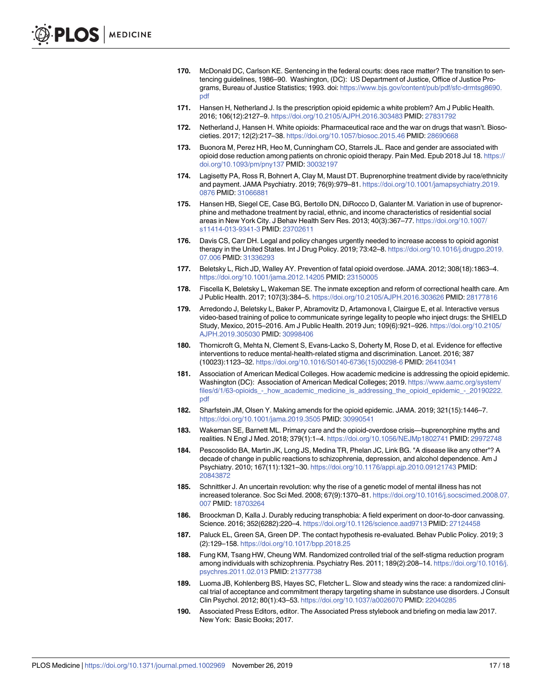- <span id="page-16-0"></span>**[170](#page-5-0).** McDonald DC, Carlson KE. Sentencing in the federal courts: does race matter? The transition to sentencing guidelines, 1986–90. Washington, (DC): US Department of Justice, Office of Justice Programs, Bureau of Justice Statistics; 1993. doi: [https://www.bjs.gov/content/pub/pdf/sfc-drmtsg8690.](https://www.bjs.gov/content/pub/pdf/sfc-drmtsg8690.pdf) [pdf](https://www.bjs.gov/content/pub/pdf/sfc-drmtsg8690.pdf)
- **[171](#page-6-0).** Hansen H, Netherland J. Is the prescription opioid epidemic a white problem? Am J Public Health. 2016; 106(12):2127–9. <https://doi.org/10.2105/AJPH.2016.303483> PMID: [27831792](http://www.ncbi.nlm.nih.gov/pubmed/27831792)
- **[172](#page-6-0).** Netherland J, Hansen H. White opioids: Pharmaceutical race and the war on drugs that wasn't. Biosocieties. 2017; 12(2):217–38. <https://doi.org/10.1057/biosoc.2015.46> PMID: [28690668](http://www.ncbi.nlm.nih.gov/pubmed/28690668)
- **[173](#page-6-0).** Buonora M, Perez HR, Heo M, Cunningham CO, Starrels JL. Race and gender are associated with opioid dose reduction among patients on chronic opioid therapy. Pain Med. Epub 2018 Jul 18. [https://](https://doi.org/10.1093/pm/pny137) [doi.org/10.1093/pm/pny137](https://doi.org/10.1093/pm/pny137) PMID: [30032197](http://www.ncbi.nlm.nih.gov/pubmed/30032197)
- **[174](#page-6-0).** Lagisetty PA, Ross R, Bohnert A, Clay M, Maust DT. Buprenorphine treatment divide by race/ethnicity and payment. JAMA Psychiatry. 2019; 76(9):979–81. [https://doi.org/10.1001/jamapsychiatry.2019.](https://doi.org/10.1001/jamapsychiatry.2019.0876) [0876](https://doi.org/10.1001/jamapsychiatry.2019.0876) PMID: [31066881](http://www.ncbi.nlm.nih.gov/pubmed/31066881)
- **[175](#page-6-0).** Hansen HB, Siegel CE, Case BG, Bertollo DN, DiRocco D, Galanter M. Variation in use of buprenorphine and methadone treatment by racial, ethnic, and income characteristics of residential social areas in New York City. J Behav Health Serv Res. 2013; 40(3):367–77. [https://doi.org/10.1007/](https://doi.org/10.1007/s11414-013-9341-3) [s11414-013-9341-3](https://doi.org/10.1007/s11414-013-9341-3) PMID: [23702611](http://www.ncbi.nlm.nih.gov/pubmed/23702611)
- **[176](#page-6-0).** Davis CS, Carr DH. Legal and policy changes urgently needed to increase access to opioid agonist therapy in the United States. Int J Drug Policy. 2019; 73:42–8. [https://doi.org/10.1016/j.drugpo.2019.](https://doi.org/10.1016/j.drugpo.2019.07.006) [07.006](https://doi.org/10.1016/j.drugpo.2019.07.006) PMID: [31336293](http://www.ncbi.nlm.nih.gov/pubmed/31336293)
- **177.** Beletsky L, Rich JD, Walley AY. Prevention of fatal opioid overdose. JAMA. 2012; 308(18):1863–4. <https://doi.org/10.1001/jama.2012.14205> PMID: [23150005](http://www.ncbi.nlm.nih.gov/pubmed/23150005)
- **[178](#page-6-0).** Fiscella K, Beletsky L, Wakeman SE. The inmate exception and reform of correctional health care. Am J Public Health. 2017; 107(3):384–5. <https://doi.org/10.2105/AJPH.2016.303626> PMID: [28177816](http://www.ncbi.nlm.nih.gov/pubmed/28177816)
- **[179](#page-6-0).** Arredondo J, Beletsky L, Baker P, Abramovitz D, Artamonova I, Clairgue E, et al. Interactive versus video-based training of police to communicate syringe legality to people who inject drugs: the SHIELD Study, Mexico, 2015–2016. Am J Public Health. 2019 Jun; 109(6):921–926. [https://doi.org/10.2105/](https://doi.org/10.2105/AJPH.2019.305030) [AJPH.2019.305030](https://doi.org/10.2105/AJPH.2019.305030) PMID: [30998406](http://www.ncbi.nlm.nih.gov/pubmed/30998406)
- **[180](#page-6-0).** Thornicroft G, Mehta N, Clement S, Evans-Lacko S, Doherty M, Rose D, et al. Evidence for effective interventions to reduce mental-health-related stigma and discrimination. Lancet. 2016; 387 (10023):1123–32. [https://doi.org/10.1016/S0140-6736\(15\)00298-6](https://doi.org/10.1016/S0140-6736(15)00298-6) PMID: [26410341](http://www.ncbi.nlm.nih.gov/pubmed/26410341)
- **[181](#page-6-0).** Association of American Medical Colleges. How academic medicine is addressing the opioid epidemic. Washington (DC): Association of American Medical Colleges; 2019. [https://www.aamc.org/system/](https://www.aamc.org/system/files/d/1/63-opioids_-_how_academic_medicine_is_addressing_the_opioid_epidemic_-_20190222.pdf) [files/d/1/63-opioids\\_-\\_how\\_academic\\_medicine\\_is\\_addressing\\_the\\_opioid\\_epidemic\\_-\\_20190222.](https://www.aamc.org/system/files/d/1/63-opioids_-_how_academic_medicine_is_addressing_the_opioid_epidemic_-_20190222.pdf) [pdf](https://www.aamc.org/system/files/d/1/63-opioids_-_how_academic_medicine_is_addressing_the_opioid_epidemic_-_20190222.pdf)
- **[182](#page-6-0).** Sharfstein JM, Olsen Y. Making amends for the opioid epidemic. JAMA. 2019; 321(15):1446–7. <https://doi.org/10.1001/jama.2019.3505> PMID: [30990541](http://www.ncbi.nlm.nih.gov/pubmed/30990541)
- **[183](#page-6-0).** Wakeman SE, Barnett ML. Primary care and the opioid-overdose crisis—buprenorphine myths and realities. N Engl J Med. 2018; 379(1):1–4. <https://doi.org/10.1056/NEJMp1802741> PMID: [29972748](http://www.ncbi.nlm.nih.gov/pubmed/29972748)
- **[184](#page-6-0).** Pescosolido BA, Martin JK, Long JS, Medina TR, Phelan JC, Link BG. "A disease like any other"? A decade of change in public reactions to schizophrenia, depression, and alcohol dependence. Am J Psychiatry. 2010; 167(11):1321–30. <https://doi.org/10.1176/appi.ajp.2010.09121743> PMID: [20843872](http://www.ncbi.nlm.nih.gov/pubmed/20843872)
- **[185](#page-6-0).** Schnittker J. An uncertain revolution: why the rise of a genetic model of mental illness has not increased tolerance. Soc Sci Med. 2008; 67(9):1370–81. [https://doi.org/10.1016/j.socscimed.2008.07.](https://doi.org/10.1016/j.socscimed.2008.07.007) [007](https://doi.org/10.1016/j.socscimed.2008.07.007) PMID: [18703264](http://www.ncbi.nlm.nih.gov/pubmed/18703264)
- **[186](#page-6-0).** Broockman D, Kalla J. Durably reducing transphobia: A field experiment on door-to-door canvassing. Science. 2016; 352(6282):220–4. <https://doi.org/10.1126/science.aad9713> PMID: [27124458](http://www.ncbi.nlm.nih.gov/pubmed/27124458)
- **[187](#page-6-0).** Paluck EL, Green SA, Green DP. The contact hypothesis re-evaluated. Behav Public Policy. 2019; 3 (2):129–158. <https://doi.org/10.1017/bpp.2018.25>
- **[188](#page-6-0).** Fung KM, Tsang HW, Cheung WM. Randomized controlled trial of the self-stigma reduction program among individuals with schizophrenia. Psychiatry Res. 2011; 189(2):208–14. [https://doi.org/10.1016/j.](https://doi.org/10.1016/j.psychres.2011.02.013) [psychres.2011.02.013](https://doi.org/10.1016/j.psychres.2011.02.013) PMID: [21377738](http://www.ncbi.nlm.nih.gov/pubmed/21377738)
- **[189](#page-6-0).** Luoma JB, Kohlenberg BS, Hayes SC, Fletcher L. Slow and steady wins the race: a randomized clinical trial of acceptance and commitment therapy targeting shame in substance use disorders. J Consult Clin Psychol. 2012; 80(1):43–53. <https://doi.org/10.1037/a0026070> PMID: [22040285](http://www.ncbi.nlm.nih.gov/pubmed/22040285)
- **[190](#page-6-0).** Associated Press Editors, editor. The Associated Press stylebook and briefing on media law 2017. New York: Basic Books; 2017.